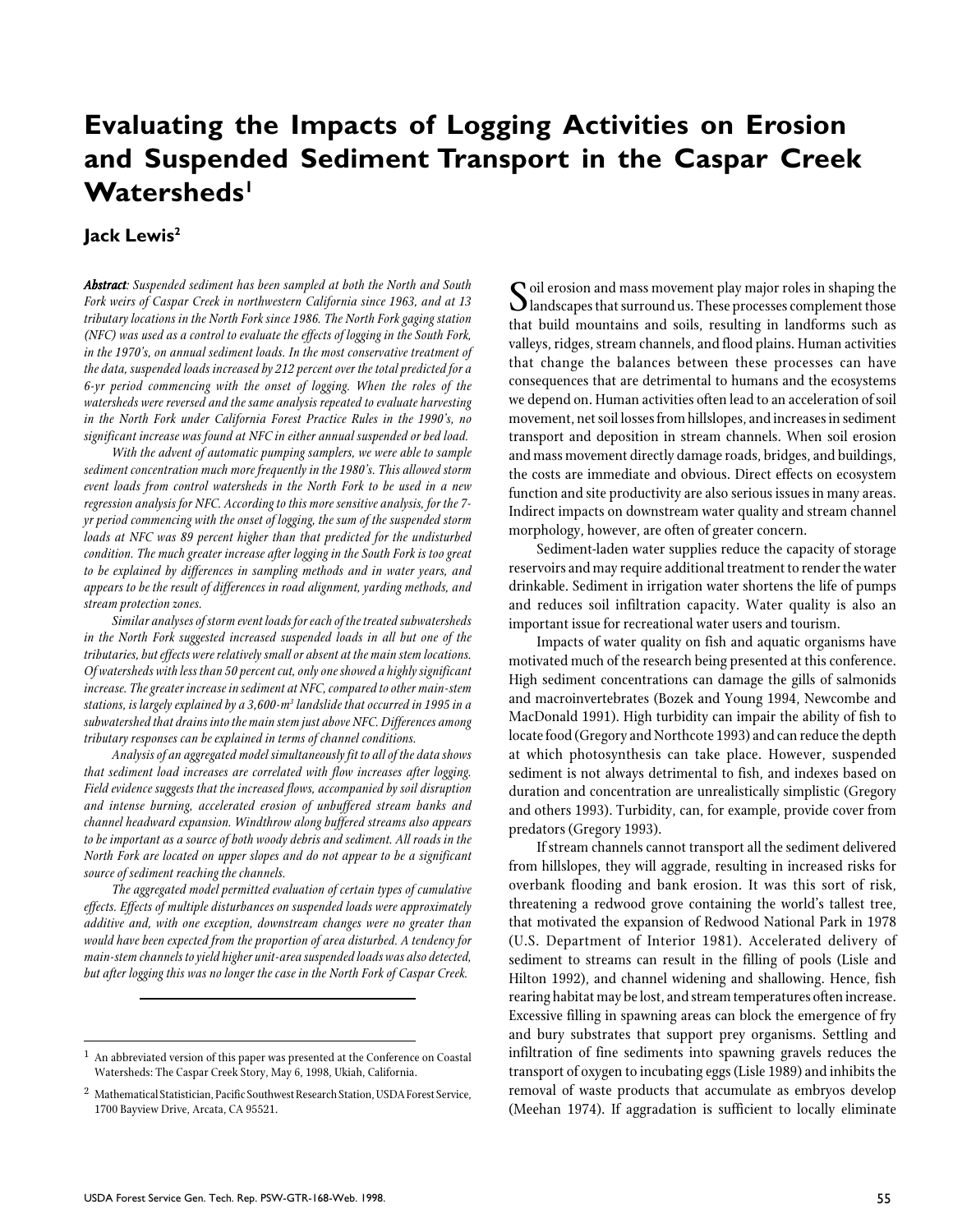# **Evaluating the Impacts of Logging Activities on Erosion and Suspended Sediment Transport in the Caspar Creek** Watersheds<sup>1</sup>

#### **Jack Lewis2**

*Abstract Abstract: Suspended sediment has been sampled at both the North and South Fork weirs of Caspar Creek in northwestern California since 1963, and at 13 tributary locations in the North Fork since 1986. The North Fork gaging station (NFC) was used as a control to evaluate the effects of logging in the South Fork, in the 1970's, on annual sediment loads. In the most conservative treatment of the data, suspended loads increased by 212 percent over the total predicted for a 6-yr period commencing with the onset of logging. When the roles of the watersheds were reversed and the same analysis repeated to evaluate harvesting in the North Fork under California Forest Practice Rules in the 1990's, no significant increase was found at NFC in either annual suspended or bed load.*

*With the advent of automatic pumping samplers, we were able to sample sediment concentration much more frequently in the 1980's. This allowed storm event loads from control watersheds in the North Fork to be used in a new regression analysis for NFC. According to this more sensitive analysis, for the 7 yr period commencing with the onset of logging, the sum of the suspended storm loads at NFC was 89 percent higher than that predicted for the undisturbed condition. The much greater increase after logging in the South Fork is too great to be explained by differences in sampling methods and in water years, and appears to be the result of differences in road alignment, yarding methods, and stream protection zones.*

*Similar analyses of storm event loads for each of the treated subwatersheds in the North Fork suggested increased suspended loads in all but one of the tributaries, but effects were relatively small or absent at the main stem locations. Of watersheds with less than 50 percent cut, only one showed a highly significant increase. The greater increase in sediment at NFC, compared to other main-stem stations, is largely explained by a 3,600-m3 landslide that occurred in 1995 in a subwatershed that drains into the main stem just above NFC. Differences among tributary responses can be explained in terms of channel conditions.*

*Analysis of an aggregated model simultaneously fit to all of the data shows that sediment load increases are correlated with flow increases after logging. Field evidence suggests that the increased flows, accompanied by soil disruption and intense burning, accelerated erosion of unbuffered stream banks and channel headward expansion. Windthrow along buffered streams also appears to be important as a source of both woody debris and sediment. All roads in the North Fork are located on upper slopes and do not appear to be a significant source of sediment reaching the channels.*

*The aggregated model permitted evaluation of certain types of cumulative effects. Effects of multiple disturbances on suspended loads were approximately additive and, with one exception, downstream changes were no greater than would have been expected from the proportion of area disturbed. A tendency for main-stem channels to yield higher unit-area suspended loads was also detected, but after logging this was no longer the case in the North Fork of Caspar Creek.*

 $\bf{C}$ oil erosion and mass movement play major roles in shaping the landscapes that surround us. These processes complement those that build mountains and soils, resulting in landforms such as valleys, ridges, stream channels, and flood plains. Human activities that change the balances between these processes can have consequences that are detrimental to humans and the ecosystems we depend on. Human activities often lead to an acceleration of soil movement, net soil losses from hillslopes, and increases in sediment transport and deposition in stream channels. When soil erosion and mass movement directly damage roads, bridges, and buildings, the costs are immediate and obvious. Direct effects on ecosystem function and site productivity are also serious issues in many areas. Indirect impacts on downstream water quality and stream channel morphology, however, are often of greater concern.

Sediment-laden water supplies reduce the capacity of storage reservoirs and may require additional treatment to render the water drinkable. Sediment in irrigation water shortens the life of pumps and reduces soil infiltration capacity. Water quality is also an important issue for recreational water users and tourism.

Impacts of water quality on fish and aquatic organisms have motivated much of the research being presented at this conference. High sediment concentrations can damage the gills of salmonids and macroinvertebrates (Bozek and Young 1994, Newcombe and MacDonald 1991). High turbidity can impair the ability of fish to locate food (Gregory and Northcote 1993) and can reduce the depth at which photosynthesis can take place. However, suspended sediment is not always detrimental to fish, and indexes based on duration and concentration are unrealistically simplistic (Gregory and others 1993). Turbidity, can, for example, provide cover from predators (Gregory 1993).

If stream channels cannot transport all the sediment delivered from hillslopes, they will aggrade, resulting in increased risks for overbank flooding and bank erosion. It was this sort of risk, threatening a redwood grove containing the world's tallest tree, that motivated the expansion of Redwood National Park in 1978 (U.S. Department of Interior 1981). Accelerated delivery of sediment to streams can result in the filling of pools (Lisle and Hilton 1992), and channel widening and shallowing. Hence, fish rearing habitat may be lost, and stream temperatures often increase. Excessive filling in spawning areas can block the emergence of fry and bury substrates that support prey organisms. Settling and infiltration of fine sediments into spawning gravels reduces the transport of oxygen to incubating eggs (Lisle 1989) and inhibits the removal of waste products that accumulate as embryos develop (Meehan 1974). If aggradation is sufficient to locally eliminate

 $^{\rm 1}$  An abbreviated version of this paper was presented at the Conference on Coastal Watersheds: The Caspar Creek Story, May 6, 1998, Ukiah, California.

<sup>2</sup> Mathematical Statistician, Pacific Southwest Research Station, USDA Forest Service, 1700 Bayview Drive, Arcata, CA 95521.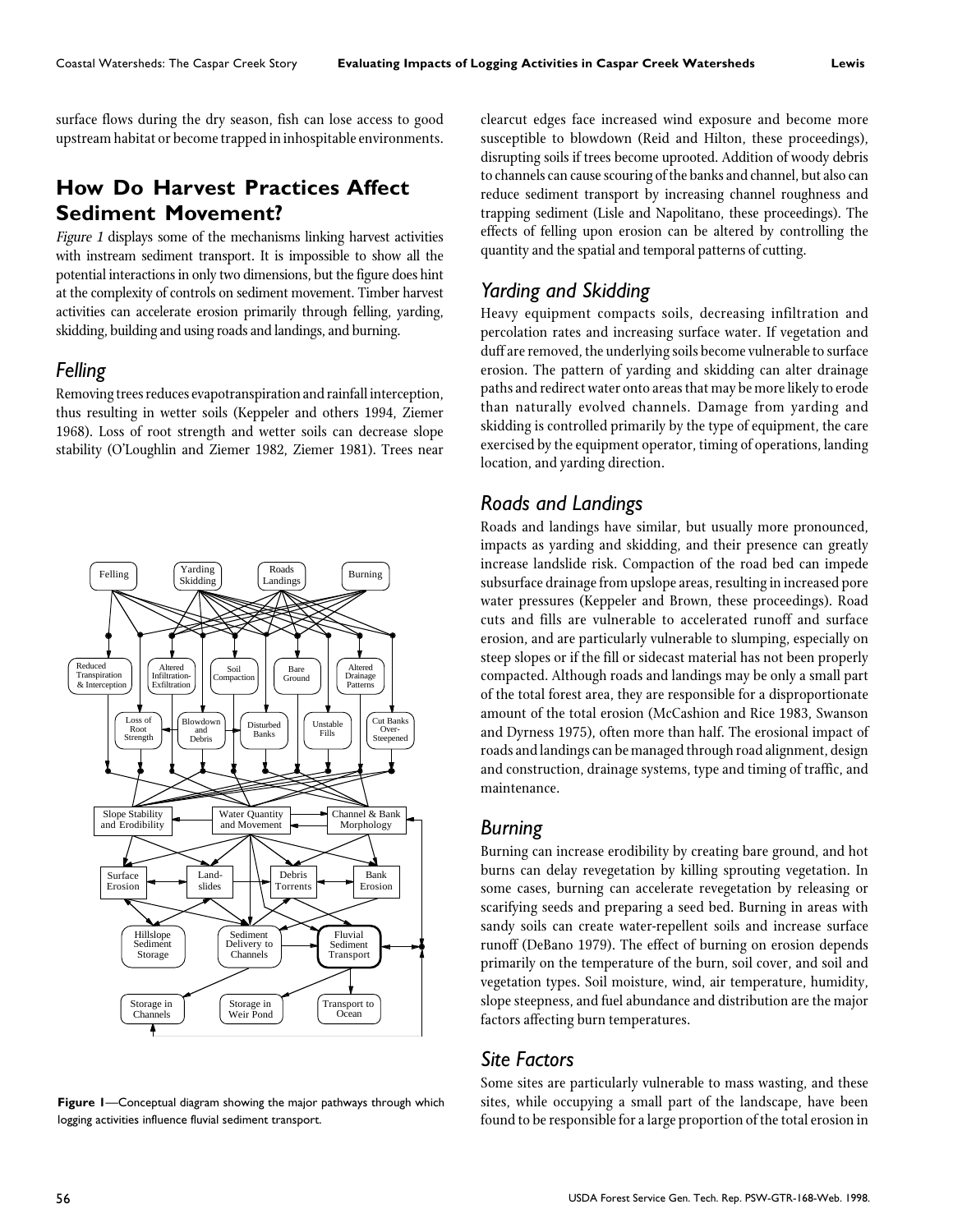surface flows during the dry season, fish can lose access to good upstream habitat or become trapped in inhospitable environments.

# **How Do Harvest Practices Affect Sediment Movement?**

Figure 1 displays some of the mechanisms linking harvest activities with instream sediment transport. It is impossible to show all the potential interactions in only two dimensions, but the figure does hint at the complexity of controls on sediment movement. Timber harvest activities can accelerate erosion primarily through felling, yarding, skidding, building and using roads and landings, and burning.

#### *Felling*

Removing trees reduces evapotranspiration and rainfall interception, thus resulting in wetter soils (Keppeler and others 1994, Ziemer 1968). Loss of root strength and wetter soils can decrease slope stability (O'Loughlin and Ziemer 1982, Ziemer 1981). Trees near



**Figure 1**—Conceptual diagram showing the major pathways through which logging activities influence fluvial sediment transport.

clearcut edges face increased wind exposure and become more susceptible to blowdown (Reid and Hilton, these proceedings), disrupting soils if trees become uprooted. Addition of woody debris to channels can cause scouring of the banks and channel, but also can reduce sediment transport by increasing channel roughness and trapping sediment (Lisle and Napolitano, these proceedings). The effects of felling upon erosion can be altered by controlling the quantity and the spatial and temporal patterns of cutting.

# *Yarding and Skidding*

Heavy equipment compacts soils, decreasing infiltration and percolation rates and increasing surface water. If vegetation and duff are removed, the underlying soils become vulnerable to surface erosion. The pattern of yarding and skidding can alter drainage paths and redirect water onto areas that may be more likely to erode than naturally evolved channels. Damage from yarding and skidding is controlled primarily by the type of equipment, the care exercised by the equipment operator, timing of operations, landing location, and yarding direction.

# *Roads and Landings*

Roads and landings have similar, but usually more pronounced, impacts as yarding and skidding, and their presence can greatly increase landslide risk. Compaction of the road bed can impede subsurface drainage from upslope areas, resulting in increased pore water pressures (Keppeler and Brown, these proceedings). Road cuts and fills are vulnerable to accelerated runoff and surface erosion, and are particularly vulnerable to slumping, especially on steep slopes or if the fill or sidecast material has not been properly compacted. Although roads and landings may be only a small part of the total forest area, they are responsible for a disproportionate amount of the total erosion (McCashion and Rice 1983, Swanson and Dyrness 1975), often more than half. The erosional impact of roads and landings can be managed through road alignment, design and construction, drainage systems, type and timing of traffic, and maintenance.

#### *Burning*

Burning can increase erodibility by creating bare ground, and hot burns can delay revegetation by killing sprouting vegetation. In some cases, burning can accelerate revegetation by releasing or scarifying seeds and preparing a seed bed. Burning in areas with sandy soils can create water-repellent soils and increase surface runoff (DeBano 1979). The effect of burning on erosion depends primarily on the temperature of the burn, soil cover, and soil and vegetation types. Soil moisture, wind, air temperature, humidity, slope steepness, and fuel abundance and distribution are the major factors affecting burn temperatures.

# *Site Factors*

Some sites are particularly vulnerable to mass wasting, and these sites, while occupying a small part of the landscape, have been found to be responsible for a large proportion of the total erosion in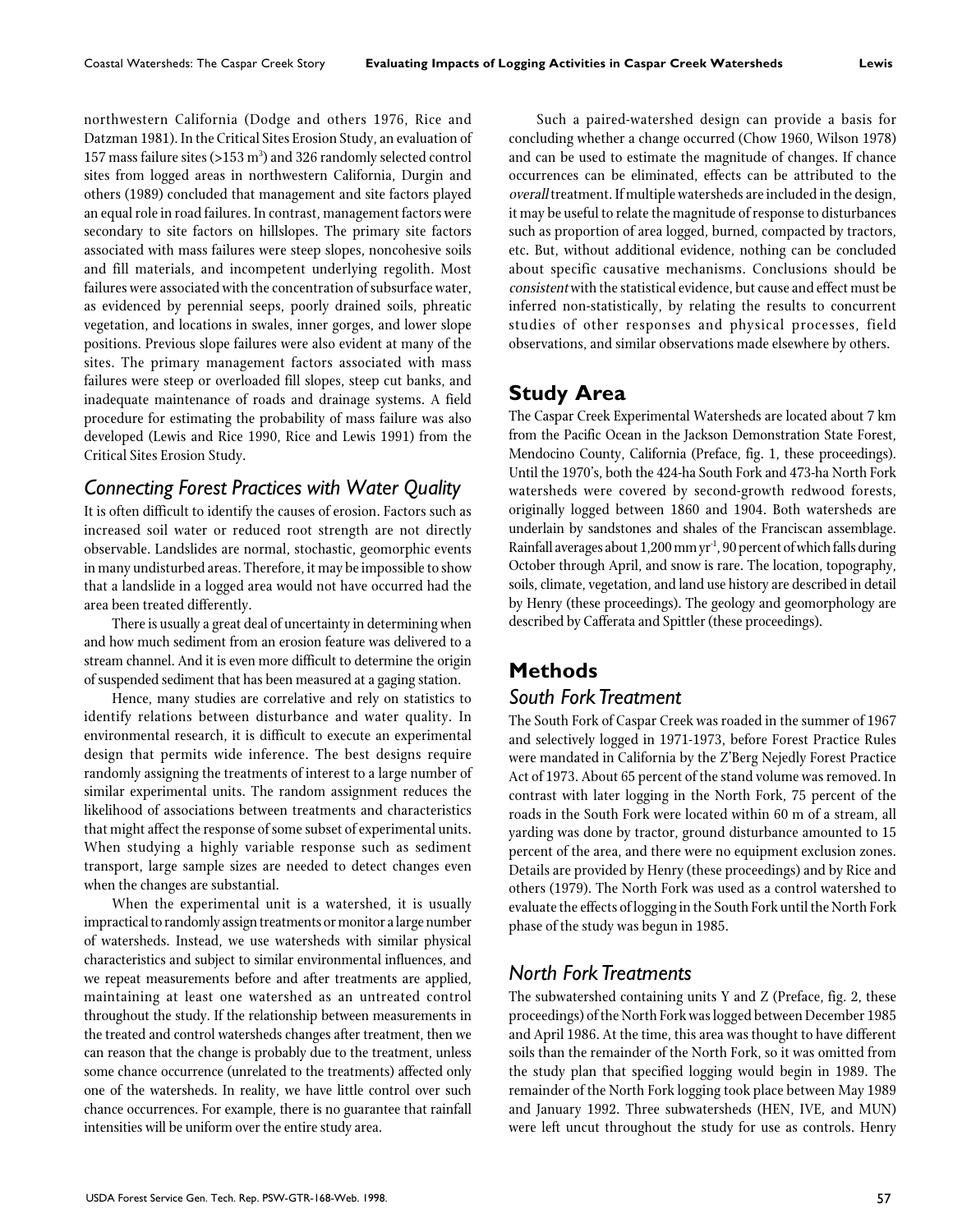northwestern California (Dodge and others 1976, Rice and Datzman 1981). In the Critical Sites Erosion Study, an evaluation of 157 mass failure sites (>153  $\mathrm{m}^{3}$ ) and 326 randomly selected control sites from logged areas in northwestern California, Durgin and others (1989) concluded that management and site factors played an equal role in road failures. In contrast, management factors were secondary to site factors on hillslopes. The primary site factors associated with mass failures were steep slopes, noncohesive soils and fill materials, and incompetent underlying regolith. Most failures were associated with the concentration of subsurface water, as evidenced by perennial seeps, poorly drained soils, phreatic vegetation, and locations in swales, inner gorges, and lower slope positions. Previous slope failures were also evident at many of the sites. The primary management factors associated with mass failures were steep or overloaded fill slopes, steep cut banks, and inadequate maintenance of roads and drainage systems. A field procedure for estimating the probability of mass failure was also developed (Lewis and Rice 1990, Rice and Lewis 1991) from the Critical Sites Erosion Study.

## *Connecting Forest Practices with Water Quality*

It is often difficult to identify the causes of erosion. Factors such as increased soil water or reduced root strength are not directly observable. Landslides are normal, stochastic, geomorphic events in many undisturbed areas. Therefore, it may be impossible to show that a landslide in a logged area would not have occurred had the area been treated differently.

There is usually a great deal of uncertainty in determining when and how much sediment from an erosion feature was delivered to a stream channel. And it is even more difficult to determine the origin of suspended sediment that has been measured at a gaging station.

Hence, many studies are correlative and rely on statistics to identify relations between disturbance and water quality. In environmental research, it is difficult to execute an experimental design that permits wide inference. The best designs require randomly assigning the treatments of interest to a large number of similar experimental units. The random assignment reduces the likelihood of associations between treatments and characteristics that might affect the response of some subset of experimental units. When studying a highly variable response such as sediment transport, large sample sizes are needed to detect changes even when the changes are substantial.

When the experimental unit is a watershed, it is usually impractical to randomly assign treatments or monitor a large number of watersheds. Instead, we use watersheds with similar physical characteristics and subject to similar environmental influences, and we repeat measurements before and after treatments are applied, maintaining at least one watershed as an untreated control throughout the study. If the relationship between measurements in the treated and control watersheds changes after treatment, then we can reason that the change is probably due to the treatment, unless some chance occurrence (unrelated to the treatments) affected only one of the watersheds. In reality, we have little control over such chance occurrences. For example, there is no guarantee that rainfall intensities will be uniform over the entire study area.

Such a paired-watershed design can provide a basis for concluding whether a change occurred (Chow 1960, Wilson 1978) and can be used to estimate the magnitude of changes. If chance occurrences can be eliminated, effects can be attributed to the overall treatment. If multiple watersheds are included in the design, it may be useful to relate the magnitude of response to disturbances such as proportion of area logged, burned, compacted by tractors, etc. But, without additional evidence, nothing can be concluded about specific causative mechanisms. Conclusions should be consistent with the statistical evidence, but cause and effect must be inferred non-statistically, by relating the results to concurrent studies of other responses and physical processes, field observations, and similar observations made elsewhere by others.

## **Study Area**

The Caspar Creek Experimental Watersheds are located about 7 km from the Pacific Ocean in the Jackson Demonstration State Forest, Mendocino County, California (Preface, fig. 1, these proceedings). Until the 1970's, both the 424-ha South Fork and 473-ha North Fork watersheds were covered by second-growth redwood forests, originally logged between 1860 and 1904. Both watersheds are underlain by sandstones and shales of the Franciscan assemblage. Rainfall averages about 1,200 mm yr<sup>1</sup>, 90 percent of which falls during October through April, and snow is rare. The location, topography, soils, climate, vegetation, and land use history are described in detail by Henry (these proceedings). The geology and geomorphology are described by Cafferata and Spittler (these proceedings).

# **Methods**

# *South Fork Treatment*

The South Fork of Caspar Creek was roaded in the summer of 1967 and selectively logged in 1971-1973, before Forest Practice Rules were mandated in California by the Z'Berg Nejedly Forest Practice Act of 1973. About 65 percent of the stand volume was removed. In contrast with later logging in the North Fork, 75 percent of the roads in the South Fork were located within 60 m of a stream, all yarding was done by tractor, ground disturbance amounted to 15 percent of the area, and there were no equipment exclusion zones. Details are provided by Henry (these proceedings) and by Rice and others (1979). The North Fork was used as a control watershed to evaluate the effects of logging in the South Fork until the North Fork phase of the study was begun in 1985.

#### *North Fork Treatments*

The subwatershed containing units Y and Z (Preface, fig. 2, these proceedings) of the North Fork was logged between December 1985 and April 1986. At the time, this area was thought to have different soils than the remainder of the North Fork, so it was omitted from the study plan that specified logging would begin in 1989. The remainder of the North Fork logging took place between May 1989 and January 1992. Three subwatersheds (HEN, IVE, and MUN) were left uncut throughout the study for use as controls. Henry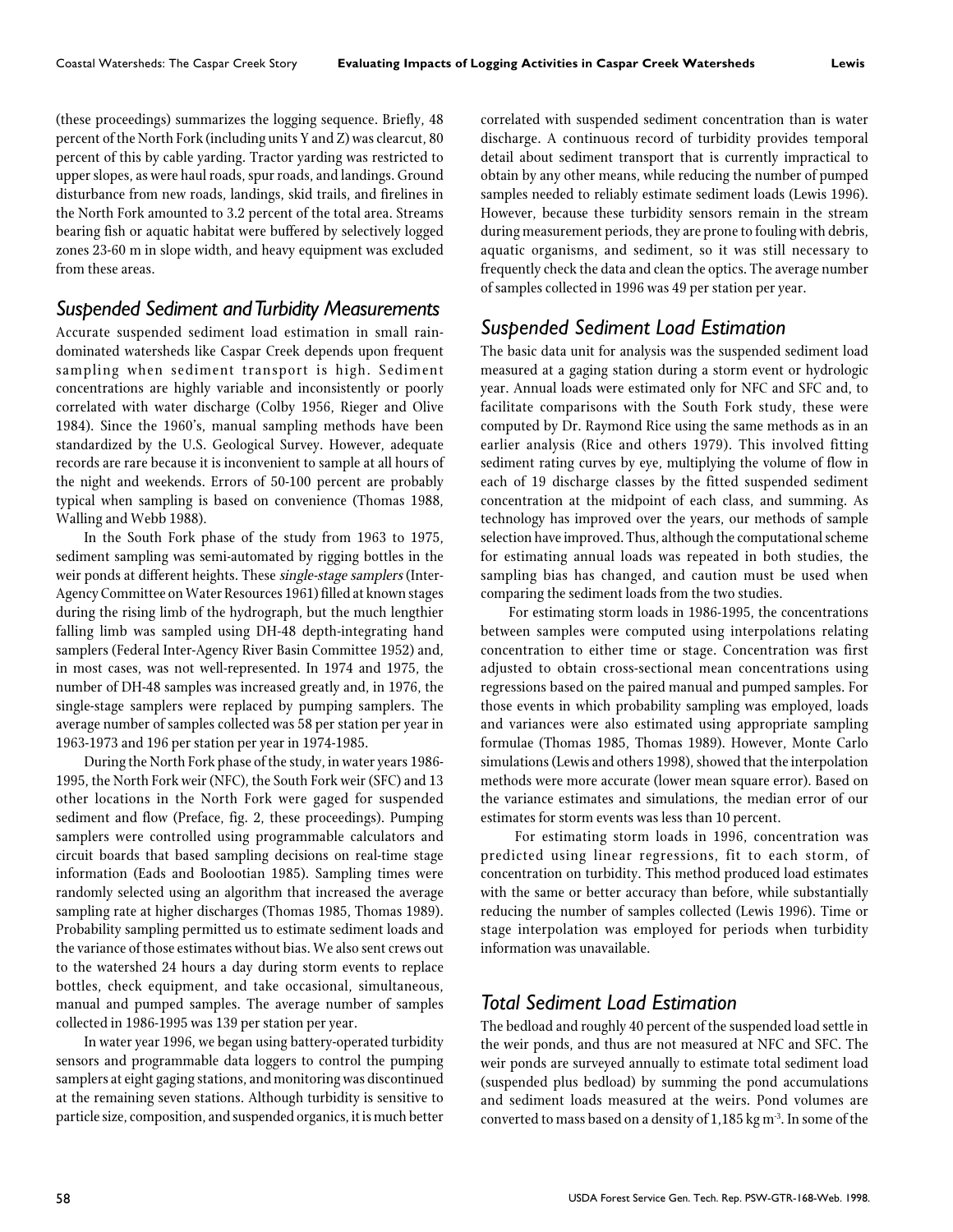(these proceedings) summarizes the logging sequence. Briefly, 48 percent of the North Fork (including units Y and Z) was clearcut, 80 percent of this by cable yarding. Tractor yarding was restricted to upper slopes, as were haul roads, spur roads, and landings. Ground disturbance from new roads, landings, skid trails, and firelines in the North Fork amounted to 3.2 percent of the total area. Streams bearing fish or aquatic habitat were buffered by selectively logged zones 23-60 m in slope width, and heavy equipment was excluded from these areas.

#### *Suspended Sediment and Turbidity Measurements*

Accurate suspended sediment load estimation in small raindominated watersheds like Caspar Creek depends upon frequent sampling when sediment transport is high. Sediment concentrations are highly variable and inconsistently or poorly correlated with water discharge (Colby 1956, Rieger and Olive 1984). Since the 1960's, manual sampling methods have been standardized by the U.S. Geological Survey. However, adequate records are rare because it is inconvenient to sample at all hours of the night and weekends. Errors of 50-100 percent are probably typical when sampling is based on convenience (Thomas 1988, Walling and Webb 1988).

In the South Fork phase of the study from 1963 to 1975, sediment sampling was semi-automated by rigging bottles in the weir ponds at different heights. These single-stage samplers (Inter-Agency Committee on Water Resources 1961) filled at known stages during the rising limb of the hydrograph, but the much lengthier falling limb was sampled using DH-48 depth-integrating hand samplers (Federal Inter-Agency River Basin Committee 1952) and, in most cases, was not well-represented. In 1974 and 1975, the number of DH-48 samples was increased greatly and, in 1976, the single-stage samplers were replaced by pumping samplers. The average number of samples collected was 58 per station per year in 1963-1973 and 196 per station per year in 1974-1985.

During the North Fork phase of the study, in water years 1986- 1995, the North Fork weir (NFC), the South Fork weir (SFC) and 13 other locations in the North Fork were gaged for suspended sediment and flow (Preface, fig. 2, these proceedings). Pumping samplers were controlled using programmable calculators and circuit boards that based sampling decisions on real-time stage information (Eads and Boolootian 1985). Sampling times were randomly selected using an algorithm that increased the average sampling rate at higher discharges (Thomas 1985, Thomas 1989). Probability sampling permitted us to estimate sediment loads and the variance of those estimates without bias. We also sent crews out to the watershed 24 hours a day during storm events to replace bottles, check equipment, and take occasional, simultaneous, manual and pumped samples. The average number of samples collected in 1986-1995 was 139 per station per year.

In water year 1996, we began using battery-operated turbidity sensors and programmable data loggers to control the pumping samplers at eight gaging stations, and monitoring was discontinued at the remaining seven stations. Although turbidity is sensitive to particle size, composition, and suspended organics, it is much better correlated with suspended sediment concentration than is water discharge. A continuous record of turbidity provides temporal detail about sediment transport that is currently impractical to obtain by any other means, while reducing the number of pumped samples needed to reliably estimate sediment loads (Lewis 1996). However, because these turbidity sensors remain in the stream during measurement periods, they are prone to fouling with debris, aquatic organisms, and sediment, so it was still necessary to frequently check the data and clean the optics. The average number of samples collected in 1996 was 49 per station per year.

# *Suspended Sediment Load Estimation*

The basic data unit for analysis was the suspended sediment load measured at a gaging station during a storm event or hydrologic year. Annual loads were estimated only for NFC and SFC and, to facilitate comparisons with the South Fork study, these were computed by Dr. Raymond Rice using the same methods as in an earlier analysis (Rice and others 1979). This involved fitting sediment rating curves by eye, multiplying the volume of flow in each of 19 discharge classes by the fitted suspended sediment concentration at the midpoint of each class, and summing. As technology has improved over the years, our methods of sample selection have improved. Thus, although the computational scheme for estimating annual loads was repeated in both studies, the sampling bias has changed, and caution must be used when comparing the sediment loads from the two studies.

For estimating storm loads in 1986-1995, the concentrations between samples were computed using interpolations relating concentration to either time or stage. Concentration was first adjusted to obtain cross-sectional mean concentrations using regressions based on the paired manual and pumped samples. For those events in which probability sampling was employed, loads and variances were also estimated using appropriate sampling formulae (Thomas 1985, Thomas 1989). However, Monte Carlo simulations (Lewis and others 1998), showed that the interpolation methods were more accurate (lower mean square error). Based on the variance estimates and simulations, the median error of our estimates for storm events was less than 10 percent.

 For estimating storm loads in 1996, concentration was predicted using linear regressions, fit to each storm, of concentration on turbidity. This method produced load estimates with the same or better accuracy than before, while substantially reducing the number of samples collected (Lewis 1996). Time or stage interpolation was employed for periods when turbidity information was unavailable.

# *Total Sediment Load Estimation*

The bedload and roughly 40 percent of the suspended load settle in the weir ponds, and thus are not measured at NFC and SFC. The weir ponds are surveyed annually to estimate total sediment load (suspended plus bedload) by summing the pond accumulations and sediment loads measured at the weirs. Pond volumes are converted to mass based on a density of  $1,185$  kg m<sup>-3</sup>. In some of the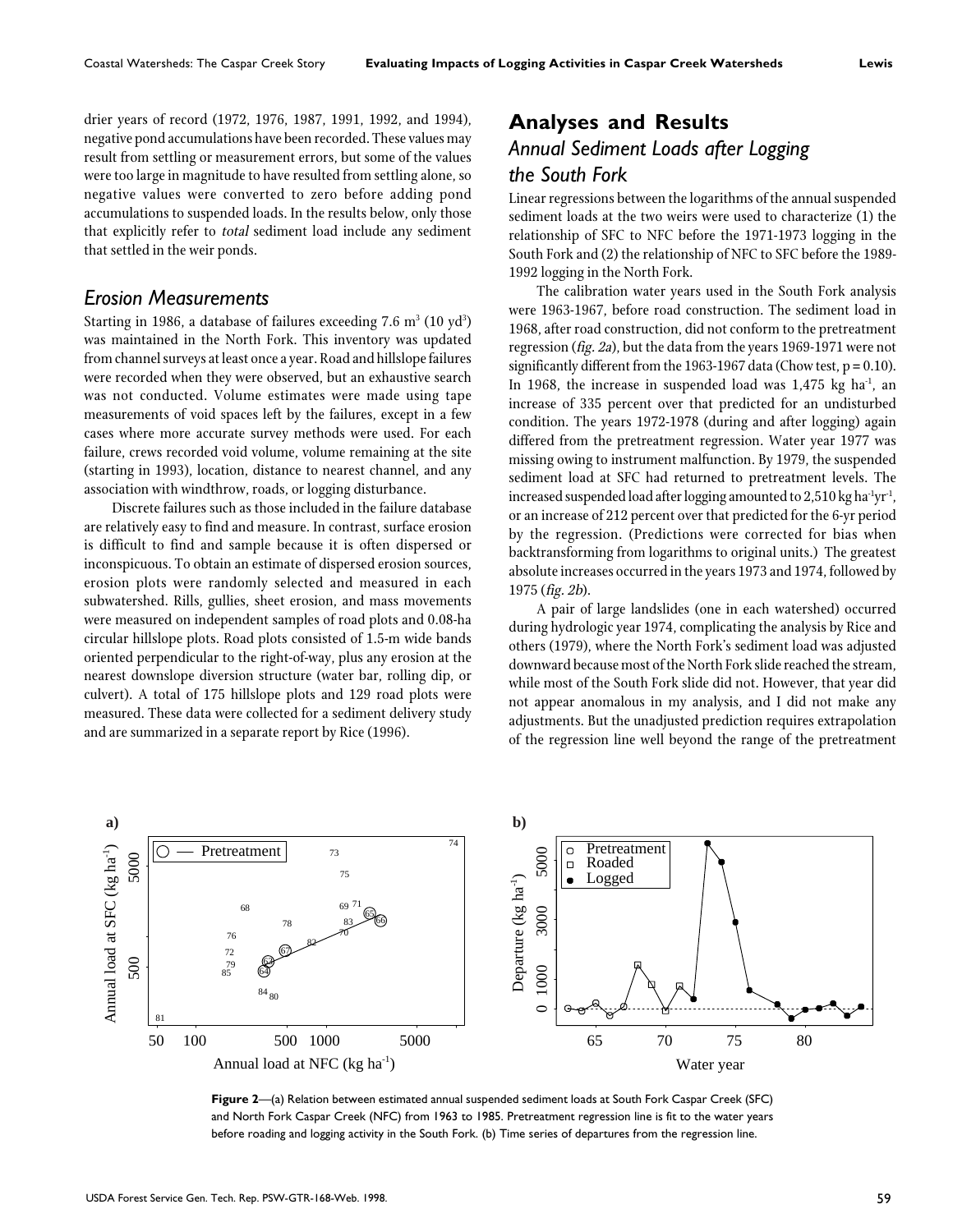drier years of record (1972, 1976, 1987, 1991, 1992, and 1994), negative pond accumulations have been recorded. These values may result from settling or measurement errors, but some of the values were too large in magnitude to have resulted from settling alone, so negative values were converted to zero before adding pond accumulations to suspended loads. In the results below, only those that explicitly refer to total sediment load include any sediment that settled in the weir ponds.

#### *Erosion Measurements*

Starting in 1986, a database of failures exceeding 7.6  $\mathrm{m}^{_3}$  (10 yd $^{\mathrm{3}}$ ) was maintained in the North Fork. This inventory was updated from channel surveys at least once a year. Road and hillslope failures were recorded when they were observed, but an exhaustive search was not conducted. Volume estimates were made using tape measurements of void spaces left by the failures, except in a few cases where more accurate survey methods were used. For each failure, crews recorded void volume, volume remaining at the site (starting in 1993), location, distance to nearest channel, and any association with windthrow, roads, or logging disturbance.

Discrete failures such as those included in the failure database are relatively easy to find and measure. In contrast, surface erosion is difficult to find and sample because it is often dispersed or inconspicuous. To obtain an estimate of dispersed erosion sources, erosion plots were randomly selected and measured in each subwatershed. Rills, gullies, sheet erosion, and mass movements were measured on independent samples of road plots and 0.08-ha circular hillslope plots. Road plots consisted of 1.5-m wide bands oriented perpendicular to the right-of-way, plus any erosion at the nearest downslope diversion structure (water bar, rolling dip, or culvert). A total of 175 hillslope plots and 129 road plots were measured. These data were collected for a sediment delivery study and are summarized in a separate report by Rice (1996).

# **Analyses and Results** *Annual Sediment Loads after Logging the South Fork*

Linear regressions between the logarithms of the annual suspended sediment loads at the two weirs were used to characterize (1) the relationship of SFC to NFC before the 1971-1973 logging in the South Fork and (2) the relationship of NFC to SFC before the 1989- 1992 logging in the North Fork.

The calibration water years used in the South Fork analysis were 1963-1967, before road construction. The sediment load in 1968, after road construction, did not conform to the pretreatment regression (fig. 2a), but the data from the years 1969-1971 were not significantly different from the 1963-1967 data (Chow test,  $p = 0.10$ ). In 1968, the increase in suspended load was  $1,475$  kg ha<sup>-1</sup>, an increase of 335 percent over that predicted for an undisturbed condition. The years 1972-1978 (during and after logging) again differed from the pretreatment regression. Water year 1977 was missing owing to instrument malfunction. By 1979, the suspended sediment load at SFC had returned to pretreatment levels. The increased suspended load after logging amounted to 2,510 kg ha<sup>-1</sup>yr<sup>-1</sup>, or an increase of 212 percent over that predicted for the 6-yr period by the regression. (Predictions were corrected for bias when backtransforming from logarithms to original units.) The greatest absolute increases occurred in the years 1973 and 1974, followed by 1975 (fig. 2b).

A pair of large landslides (one in each watershed) occurred during hydrologic year 1974, complicating the analysis by Rice and others (1979), where the North Fork's sediment load was adjusted downward because most of the North Fork slide reached the stream, while most of the South Fork slide did not. However, that year did not appear anomalous in my analysis, and I did not make any adjustments. But the unadjusted prediction requires extrapolation of the regression line well beyond the range of the pretreatment



**Figure 2**—(a) Relation between estimated annual suspended sediment loads at South Fork Caspar Creek (SFC) and North Fork Caspar Creek (NFC) from 1963 to 1985. Pretreatment regression line is fit to the water years before roading and logging activity in the South Fork. (b) Time series of departures from the regression line.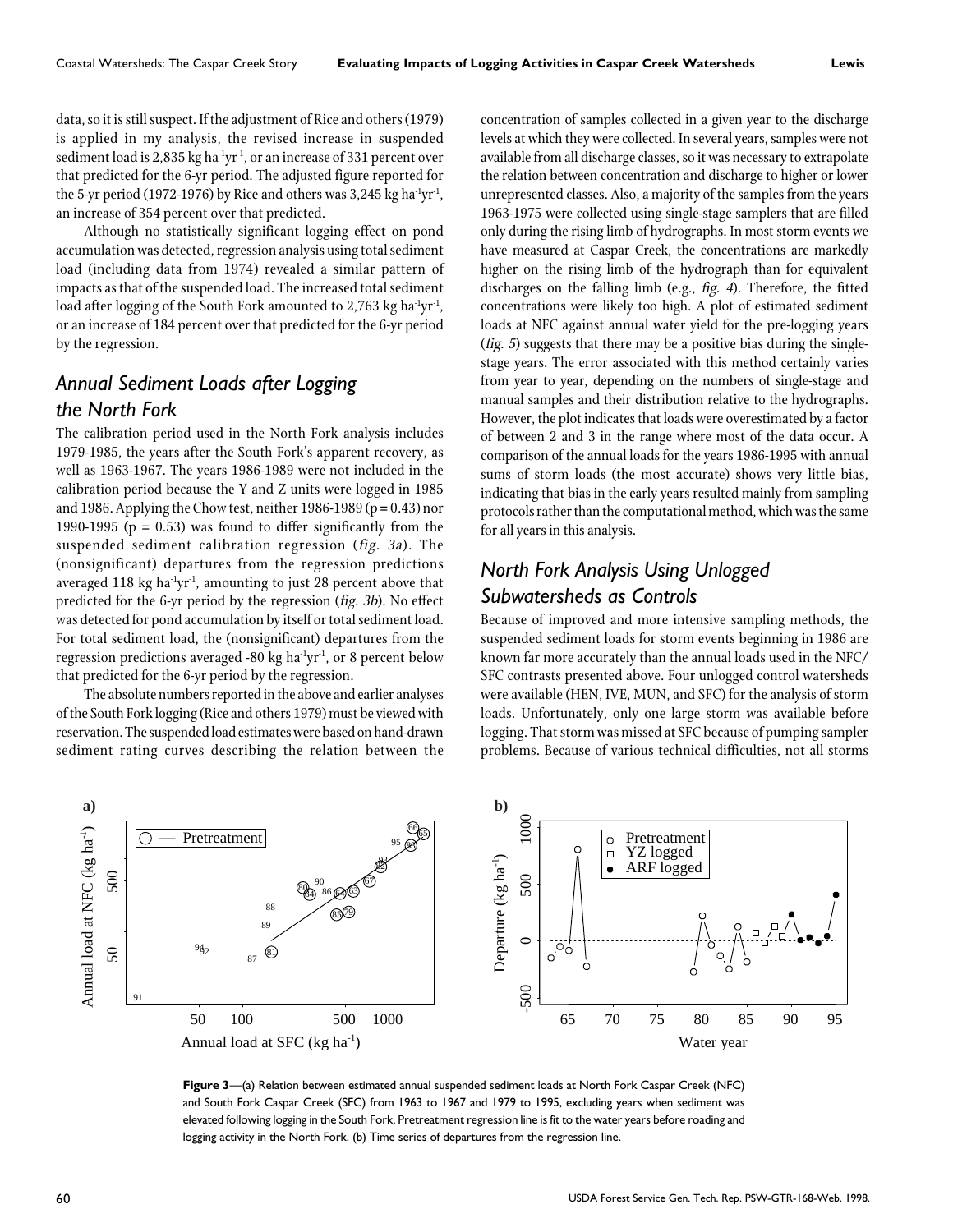data, so it is still suspect. If the adjustment of Rice and others (1979) is applied in my analysis, the revised increase in suspended sediment load is 2,835 kg ha $\mathrm{d}yr\mathrm{d}t$ , or an increase of 331 percent over that predicted for the 6-yr period. The adjusted figure reported for the 5-yr period (1972-1976) by Rice and others was  $3,245$  kg ha<sup>-1</sup>yr<sup>-1</sup>, an increase of 354 percent over that predicted.

Although no statistically significant logging effect on pond accumulation was detected, regression analysis using total sediment load (including data from 1974) revealed a similar pattern of impacts as that of the suspended load. The increased total sediment load after logging of the South Fork amounted to 2,763 kg ha<sup>-1</sup>yr<sup>-1</sup>, or an increase of 184 percent over that predicted for the 6-yr period by the regression.

# *Annual Sediment Loads after Logging the North Fork*

The calibration period used in the North Fork analysis includes 1979-1985, the years after the South Fork's apparent recovery, as well as 1963-1967. The years 1986-1989 were not included in the calibration period because the Y and Z units were logged in 1985 and 1986. Applying the Chow test, neither  $1986-1989$  (p = 0.43) nor 1990-1995 ( $p = 0.53$ ) was found to differ significantly from the suspended sediment calibration regression (fig. 3a). The (nonsignificant) departures from the regression predictions averaged 118 kg ha $\mathrm{1yr^1}$ , amounting to just 28 percent above that predicted for the 6-yr period by the regression (fig. 3b). No effect was detected for pond accumulation by itself or total sediment load. For total sediment load, the (nonsignificant) departures from the regression predictions averaged -80 kg ha $\mathrm{d}yr^{1}$ , or 8 percent below that predicted for the 6-yr period by the regression.

The absolute numbers reported in the above and earlier analyses of the South Fork logging (Rice and others 1979) must be viewed with reservation. The suspended load estimates were based on hand-drawn sediment rating curves describing the relation between the concentration of samples collected in a given year to the discharge levels at which they were collected. In several years, samples were not available from all discharge classes, so it was necessary to extrapolate the relation between concentration and discharge to higher or lower unrepresented classes. Also, a majority of the samples from the years 1963-1975 were collected using single-stage samplers that are filled only during the rising limb of hydrographs. In most storm events we have measured at Caspar Creek, the concentrations are markedly higher on the rising limb of the hydrograph than for equivalent discharges on the falling limb (e.g., fig. 4). Therefore, the fitted concentrations were likely too high. A plot of estimated sediment loads at NFC against annual water yield for the pre-logging years (*fig.* 5) suggests that there may be a positive bias during the singlestage years. The error associated with this method certainly varies from year to year, depending on the numbers of single-stage and manual samples and their distribution relative to the hydrographs. However, the plot indicates that loads were overestimated by a factor of between 2 and 3 in the range where most of the data occur. A comparison of the annual loads for the years 1986-1995 with annual sums of storm loads (the most accurate) shows very little bias, indicating that bias in the early years resulted mainly from sampling protocols rather than the computational method, which was the same for all years in this analysis.

# *North Fork Analysis Using Unlogged Subwatersheds as Controls*

Because of improved and more intensive sampling methods, the suspended sediment loads for storm events beginning in 1986 are known far more accurately than the annual loads used in the NFC/ SFC contrasts presented above. Four unlogged control watersheds were available (HEN, IVE, MUN, and SFC) for the analysis of storm loads. Unfortunately, only one large storm was available before logging. That storm was missed at SFC because of pumping sampler problems. Because of various technical difficulties, not all storms



**Figure 3**—(a) Relation between estimated annual suspended sediment loads at North Fork Caspar Creek (NFC) and South Fork Caspar Creek (SFC) from 1963 to 1967 and 1979 to 1995, excluding years when sediment was elevated following logging in the South Fork. Pretreatment regression line is fit to the water years before roading and logging activity in the North Fork. (b) Time series of departures from the regression line.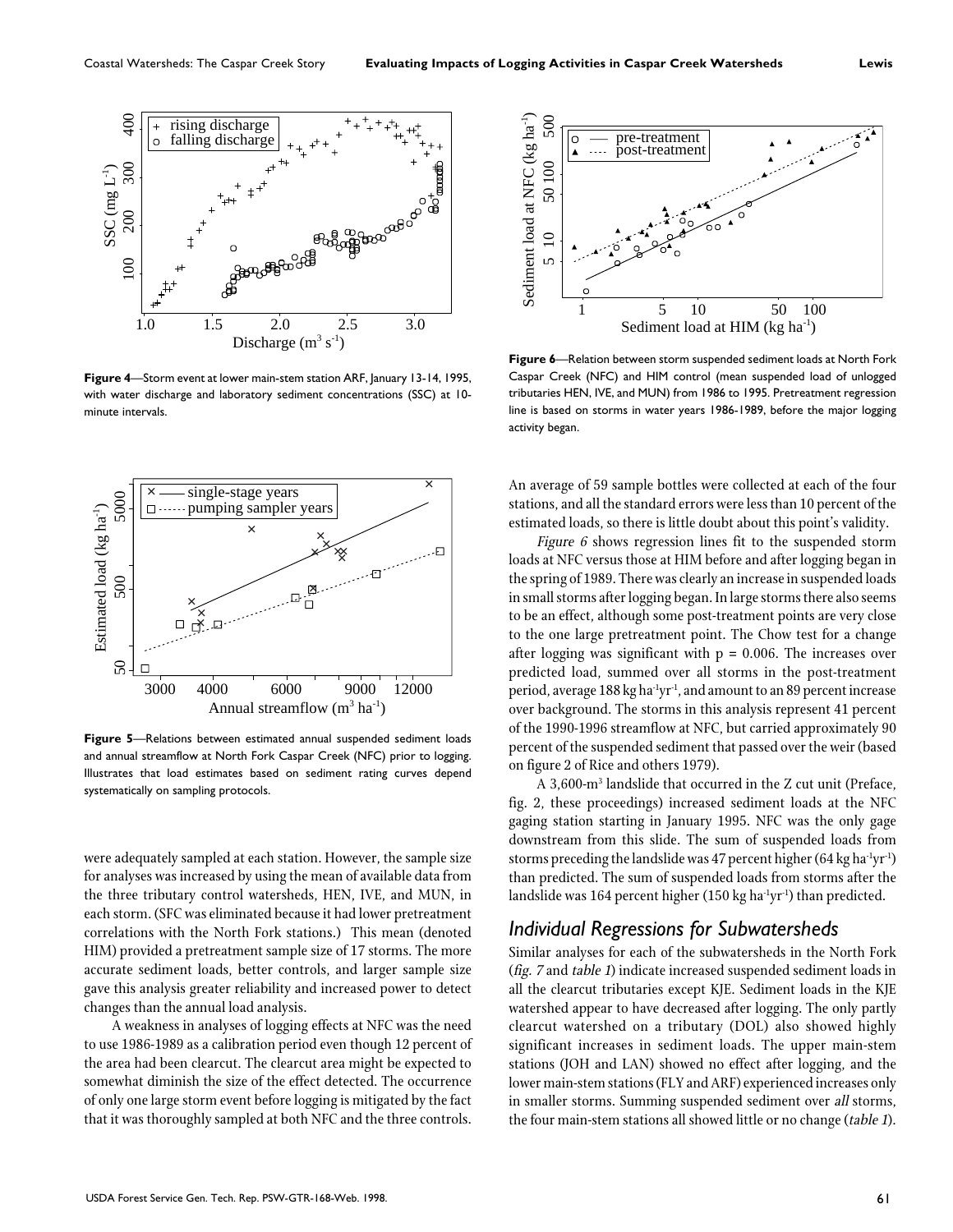

**Figure 4**—Storm event at lower main-stem station ARF, January 13-14, 1995, with water discharge and laboratory sediment concentrations (SSC) at 10 minute intervals.



**Figure 5**—Relations between estimated annual suspended sediment loads and annual streamflow at North Fork Caspar Creek (NFC) prior to logging. Illustrates that load estimates based on sediment rating curves depend systematically on sampling protocols.

were adequately sampled at each station. However, the sample size for analyses was increased by using the mean of available data from the three tributary control watersheds, HEN, IVE, and MUN, in each storm. (SFC was eliminated because it had lower pretreatment correlations with the North Fork stations.) This mean (denoted HIM) provided a pretreatment sample size of 17 storms. The more accurate sediment loads, better controls, and larger sample size gave this analysis greater reliability and increased power to detect changes than the annual load analysis.

A weakness in analyses of logging effects at NFC was the need to use 1986-1989 as a calibration period even though 12 percent of the area had been clearcut. The clearcut area might be expected to somewhat diminish the size of the effect detected. The occurrence of only one large storm event before logging is mitigated by the fact that it was thoroughly sampled at both NFC and the three controls.



**Figure 6**—Relation between storm suspended sediment loads at North Fork Caspar Creek (NFC) and HIM control (mean suspended load of unlogged tributaries HEN, IVE, and MUN) from 1986 to 1995. Pretreatment regression line is based on storms in water years 1986-1989, before the major logging activity began.

An average of 59 sample bottles were collected at each of the four stations, and all the standard errors were less than 10 percent of the estimated loads, so there is little doubt about this point's validity.

Figure 6 shows regression lines fit to the suspended storm loads at NFC versus those at HIM before and after logging began in the spring of 1989. There was clearly an increase in suspended loads in small storms after logging began. In large storms there also seems to be an effect, although some post-treatment points are very close to the one large pretreatment point. The Chow test for a change after logging was significant with  $p = 0.006$ . The increases over predicted load, summed over all storms in the post-treatment period, average 188 kg ha<sup>-1</sup>yr<sup>-1</sup>, and amount to an 89 percent increase over background. The storms in this analysis represent 41 percent of the 1990-1996 streamflow at NFC, but carried approximately 90 percent of the suspended sediment that passed over the weir (based on figure 2 of Rice and others 1979).

A 3,600-m3 landslide that occurred in the Z cut unit (Preface, fig. 2, these proceedings) increased sediment loads at the NFC gaging station starting in January 1995. NFC was the only gage downstream from this slide. The sum of suspended loads from storms preceding the landslide was 47 percent higher (64 kg ha $\text{-}1\text{yr}^{-1}$ ) than predicted. The sum of suspended loads from storms after the landslide was 164 percent higher (150 kg ha<sup>-1</sup>yr<sup>-1</sup>) than predicted.

#### *Individual Regressions for Subwatersheds*

Similar analyses for each of the subwatersheds in the North Fork (fig. 7 and table 1) indicate increased suspended sediment loads in all the clearcut tributaries except KJE. Sediment loads in the KJE watershed appear to have decreased after logging. The only partly clearcut watershed on a tributary (DOL) also showed highly significant increases in sediment loads. The upper main-stem stations (JOH and LAN) showed no effect after logging, and the lower main-stem stations (FLY and ARF) experienced increases only in smaller storms. Summing suspended sediment over all storms, the four main-stem stations all showed little or no change (table 1).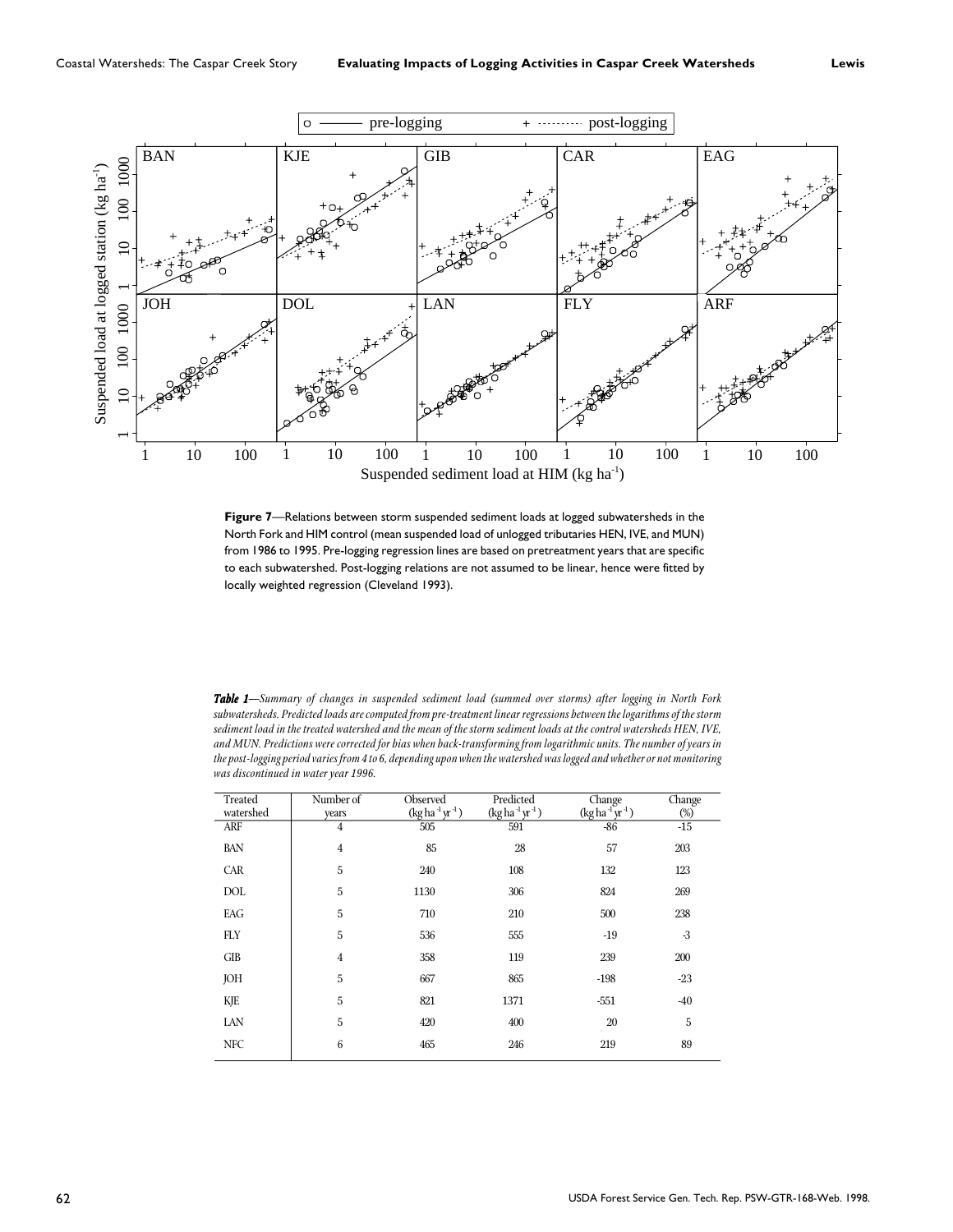

**Figure 7**—Relations between storm suspended sediment loads at logged subwatersheds in the North Fork and HIM control (mean suspended load of unlogged tributaries HEN, IVE, and MUN) from 1986 to 1995. Pre-logging regression lines are based on pretreatment years that are specific to each subwatershed. Post-logging relations are not assumed to be linear, hence were fitted by locally weighted regression (Cleveland 1993).

*Table 1—Summary of changes in suspended sediment load (summed over storms) after logging in North Fork 1 subwatersheds. Predicted loads are computed from pre-treatment linear regressions between the logarithms of the storm sediment load in the treated watershed and the mean of the storm sediment loads at the control watersheds HEN, IVE, and MUN. Predictions were corrected for bias when back-transforming from logarithmic units. The number of years in the post-logging period varies from 4 to 6, depending upon when the watershed was logged and whether or not monitoring was discontinued in water year 1996.*

| Treated    | Number of      | Observed                                                | Predicted       | Change          | Change |
|------------|----------------|---------------------------------------------------------|-----------------|-----------------|--------|
| watershed  | years          | $(\text{kg} \, \text{ha} \, {}^1 \, \text{yr} \, {}^1)$ | $(kg ha-1yr-1)$ | $(kg ha-1yr-1)$ | $(\%)$ |
| <b>ARF</b> | 4              | 505                                                     | 591             | $-86$           | $-15$  |
| BAN        | $\overline{4}$ | 85                                                      | 28              | 57              | 203    |
| CAR        | 5              | 240                                                     | 108             | 132             | 123    |
| <b>DOL</b> | 5              | 1130                                                    | 306             | 824             | 269    |
| EAG        | 5              | 710                                                     | 210             | 500             | 238    |
| <b>FLY</b> | 5              | 536                                                     | 555             | $-19$           | $-3$   |
| <b>GIB</b> | $\overline{4}$ | 358                                                     | 119             | 239             | 200    |
| JOH        | 5              | 667                                                     | 865             | $-198$          | $-23$  |
| KJE        | 5              | 821                                                     | 1371            | $-551$          | $-40$  |
| LAN        | 5              | 420                                                     | 400             | 20              | 5      |
| <b>NFC</b> | 6              | 465                                                     | 246             | 219             | 89     |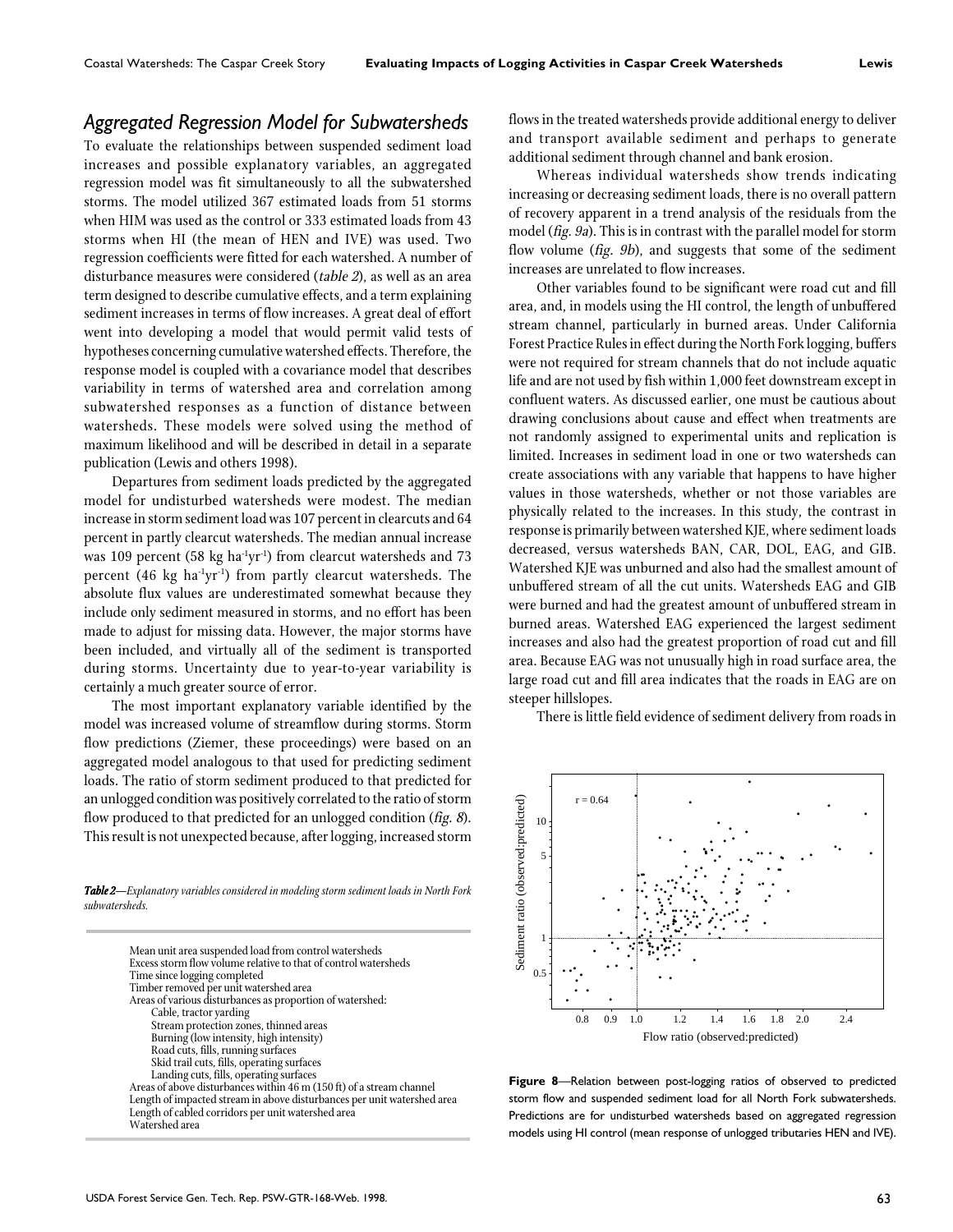#### *Aggregated Regression Model for Subwatersheds*

To evaluate the relationships between suspended sediment load increases and possible explanatory variables, an aggregated regression model was fit simultaneously to all the subwatershed storms. The model utilized 367 estimated loads from 51 storms when HIM was used as the control or 333 estimated loads from 43 storms when HI (the mean of HEN and IVE) was used. Two regression coefficients were fitted for each watershed. A number of disturbance measures were considered (table 2), as well as an area term designed to describe cumulative effects, and a term explaining sediment increases in terms of flow increases. A great deal of effort went into developing a model that would permit valid tests of hypotheses concerning cumulative watershed effects. Therefore, the response model is coupled with a covariance model that describes variability in terms of watershed area and correlation among subwatershed responses as a function of distance between watersheds. These models were solved using the method of maximum likelihood and will be described in detail in a separate publication (Lewis and others 1998).

Departures from sediment loads predicted by the aggregated model for undisturbed watersheds were modest. The median increase in storm sediment load was 107 percent in clearcuts and 64 percent in partly clearcut watersheds. The median annual increase was 109 percent (58 kg ha<sup>1</sup>yr<sup>1</sup>) from clearcut watersheds and 73 percent  $(46 \text{ kg ha}^{-1}\text{yr}^{-1})$  from partly clearcut watersheds. The absolute flux values are underestimated somewhat because they include only sediment measured in storms, and no effort has been made to adjust for missing data. However, the major storms have been included, and virtually all of the sediment is transported during storms. Uncertainty due to year-to-year variability is certainly a much greater source of error.

The most important explanatory variable identified by the model was increased volume of streamflow during storms. Storm flow predictions (Ziemer, these proceedings) were based on an aggregated model analogous to that used for predicting sediment loads. The ratio of storm sediment produced to that predicted for an unlogged condition was positively correlated to the ratio of storm flow produced to that predicted for an unlogged condition (fig. 8). This result is not unexpected because, after logging, increased storm

*Table 2—Explanatory variables considered in modeling storm sediment loads in North Fork 2 subwatersheds.*

| Mean unit area suspended load from control watersheds                   |
|-------------------------------------------------------------------------|
| Excess storm flow volume relative to that of control watersheds         |
| Time since logging completed                                            |
| Timber removed per unit watershed area                                  |
| Areas of various disturbances as proportion of watershed:               |
| Cable, tractor yarding                                                  |
| Stream protection zones, thinned areas                                  |
| Burning (low intensity, high intensity)                                 |
| Road cuts, fills, running surfaces                                      |
| Skid trail cuts, fills, operating surfaces                              |
| Landing cuts, fills, operating surfaces                                 |
| Areas of above disturbances within 46 m (150 ft) of a stream channel    |
| Length of impacted stream in above disturbances per unit watershed area |
| Length of cabled corridors per unit watershed area                      |
| Watershed area                                                          |
|                                                                         |

flows in the treated watersheds provide additional energy to deliver and transport available sediment and perhaps to generate additional sediment through channel and bank erosion.

Whereas individual watersheds show trends indicating increasing or decreasing sediment loads, there is no overall pattern of recovery apparent in a trend analysis of the residuals from the model (fig. 9a). This is in contrast with the parallel model for storm flow volume (fig. 9b), and suggests that some of the sediment increases are unrelated to flow increases.

Other variables found to be significant were road cut and fill area, and, in models using the HI control, the length of unbuffered stream channel, particularly in burned areas. Under California Forest Practice Rules in effect during the North Fork logging, buffers were not required for stream channels that do not include aquatic life and are not used by fish within 1,000 feet downstream except in confluent waters. As discussed earlier, one must be cautious about drawing conclusions about cause and effect when treatments are not randomly assigned to experimental units and replication is limited. Increases in sediment load in one or two watersheds can create associations with any variable that happens to have higher values in those watersheds, whether or not those variables are physically related to the increases. In this study, the contrast in response is primarily between watershed KJE, where sediment loads decreased, versus watersheds BAN, CAR, DOL, EAG, and GIB. Watershed KJE was unburned and also had the smallest amount of unbuffered stream of all the cut units. Watersheds EAG and GIB were burned and had the greatest amount of unbuffered stream in burned areas. Watershed EAG experienced the largest sediment increases and also had the greatest proportion of road cut and fill area. Because EAG was not unusually high in road surface area, the large road cut and fill area indicates that the roads in EAG are on steeper hillslopes.

There is little field evidence of sediment delivery from roads in



**Figure 8**—Relation between post-logging ratios of observed to predicted storm flow and suspended sediment load for all North Fork subwatersheds. Predictions are for undisturbed watersheds based on aggregated regression models using HI control (mean response of unlogged tributaries HEN and IVE).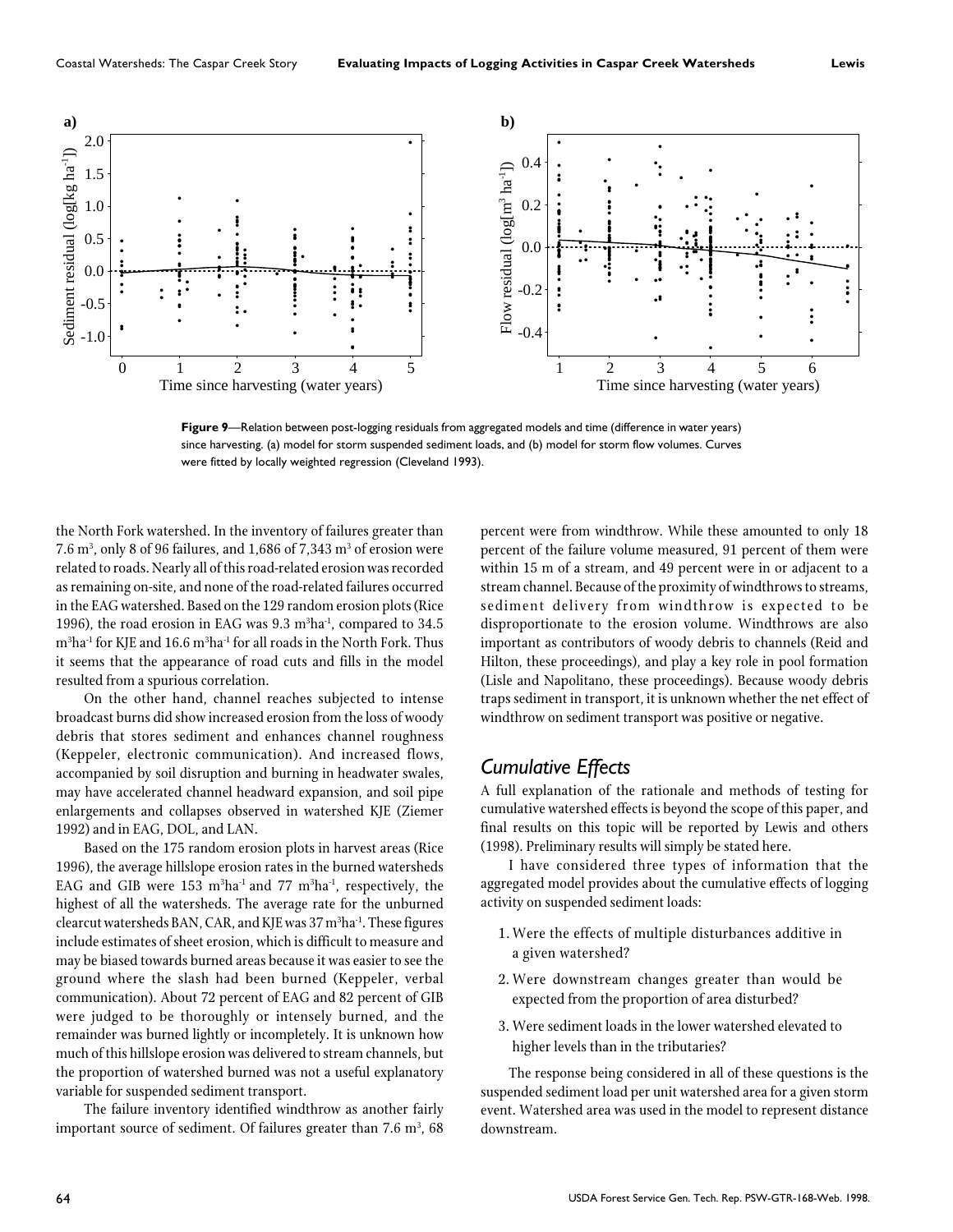

**Figure 9**—Relation between post-logging residuals from aggregated models and time (difference in water years) since harvesting. (a) model for storm suspended sediment loads, and (b) model for storm flow volumes. Curves were fitted by locally weighted regression (Cleveland 1993).

the North Fork watershed. In the inventory of failures greater than 7.6  $\mathrm{m}^{3}$ , only 8 of 96 failures, and 1,686 of 7,343  $\mathrm{m}^{3}$  of erosion were related to roads. Nearly all of this road-related erosion was recorded as remaining on-site, and none of the road-related failures occurred in the EAG watershed. Based on the 129 random erosion plots (Rice 1996), the road erosion in EAG was  $9.3 \text{ m}^3\text{ha}^1$ , compared to  $34.5$  $\mathrm{m}^{3}\mathrm{ha}^{1}$  for KJE and  $16.6$   $\mathrm{m}^{3}\mathrm{ha}^{1}$  for all roads in the North Fork. Thus it seems that the appearance of road cuts and fills in the model resulted from a spurious correlation.

On the other hand, channel reaches subjected to intense broadcast burns did show increased erosion from the loss of woody debris that stores sediment and enhances channel roughness (Keppeler, electronic communication). And increased flows, accompanied by soil disruption and burning in headwater swales, may have accelerated channel headward expansion, and soil pipe enlargements and collapses observed in watershed KJE (Ziemer 1992) and in EAG, DOL, and LAN.

Based on the 175 random erosion plots in harvest areas (Rice 1996), the average hillslope erosion rates in the burned watersheds EAG and GIB were 153  $\mathrm{m}^{3}\mathrm{ha}^{1}$  and 77  $\mathrm{m}^{3}\mathrm{ha}^{1}$ , respectively, the highest of all the watersheds. The average rate for the unburned clearcut watersheds BAN, CAR, and KJE was 37 m<sup>3</sup>ha<sup>-1</sup>. These figures include estimates of sheet erosion, which is difficult to measure and may be biased towards burned areas because it was easier to see the ground where the slash had been burned (Keppeler, verbal communication). About 72 percent of EAG and 82 percent of GIB were judged to be thoroughly or intensely burned, and the remainder was burned lightly or incompletely. It is unknown how much of this hillslope erosion was delivered to stream channels, but the proportion of watershed burned was not a useful explanatory variable for suspended sediment transport.

The failure inventory identified windthrow as another fairly important source of sediment. Of failures greater than 7.6  $\mathrm{m}^{_3}\text{, 68}$ 

percent were from windthrow. While these amounted to only 18 percent of the failure volume measured, 91 percent of them were within 15 m of a stream, and 49 percent were in or adjacent to a stream channel. Because of the proximity of windthrows to streams, sediment delivery from windthrow is expected to be disproportionate to the erosion volume. Windthrows are also important as contributors of woody debris to channels (Reid and Hilton, these proceedings), and play a key role in pool formation (Lisle and Napolitano, these proceedings). Because woody debris traps sediment in transport, it is unknown whether the net effect of windthrow on sediment transport was positive or negative.

#### *Cumulative Effects*

A full explanation of the rationale and methods of testing for cumulative watershed effects is beyond the scope of this paper, and final results on this topic will be reported by Lewis and others (1998). Preliminary results will simply be stated here.

I have considered three types of information that the aggregated model provides about the cumulative effects of logging activity on suspended sediment loads:

- 1. Were the effects of multiple disturbances additive in a given watershed?
- 2. Were downstream changes greater than would be expected from the proportion of area disturbed?
- 3. Were sediment loads in the lower watershed elevated to higher levels than in the tributaries?

The response being considered in all of these questions is the suspended sediment load per unit watershed area for a given storm event. Watershed area was used in the model to represent distance downstream.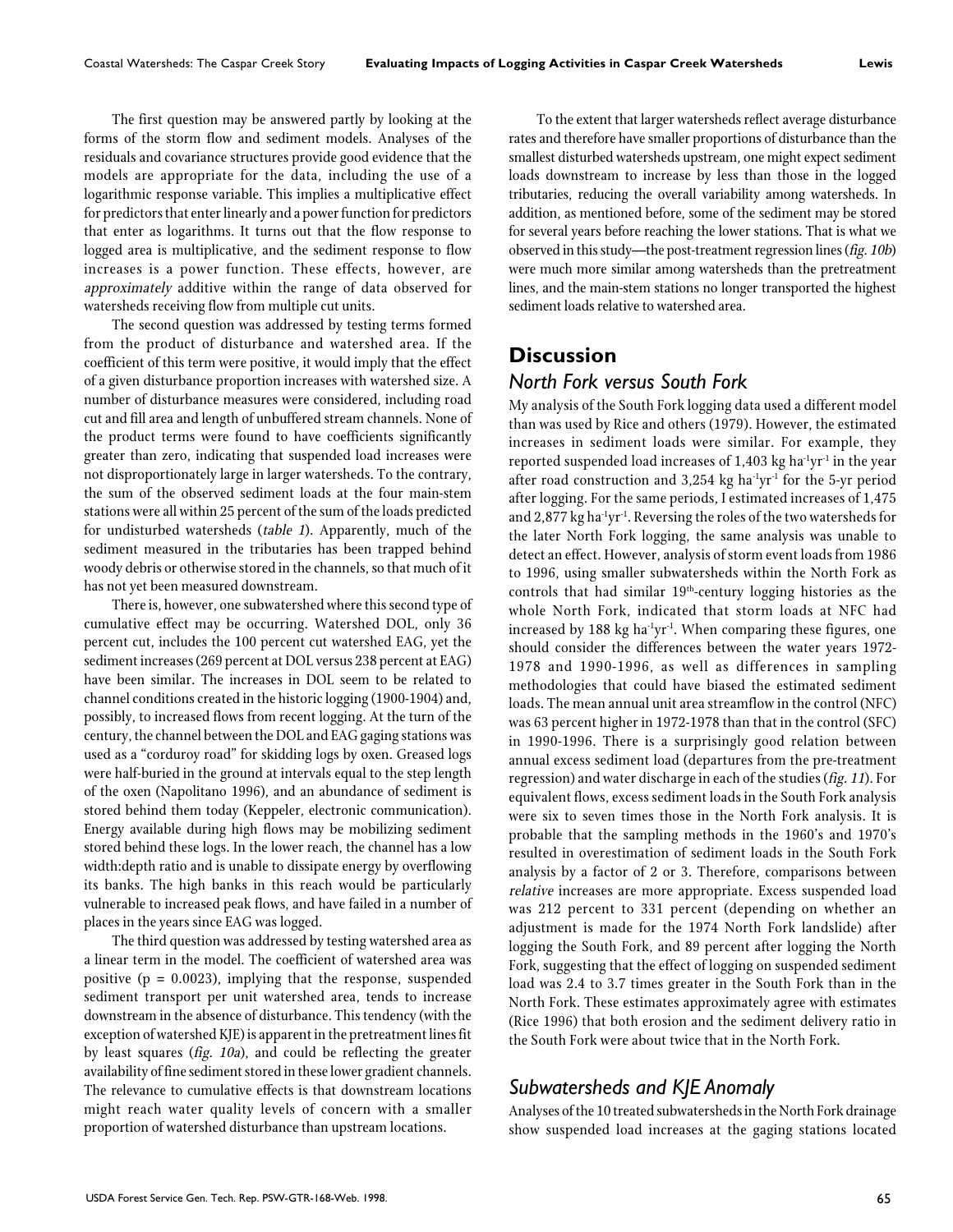The first question may be answered partly by looking at the forms of the storm flow and sediment models. Analyses of the residuals and covariance structures provide good evidence that the models are appropriate for the data, including the use of a logarithmic response variable. This implies a multiplicative effect for predictors that enter linearly and a power function for predictors that enter as logarithms. It turns out that the flow response to logged area is multiplicative, and the sediment response to flow increases is a power function. These effects, however, are approximately additive within the range of data observed for watersheds receiving flow from multiple cut units.

The second question was addressed by testing terms formed from the product of disturbance and watershed area. If the coefficient of this term were positive, it would imply that the effect of a given disturbance proportion increases with watershed size. A number of disturbance measures were considered, including road cut and fill area and length of unbuffered stream channels. None of the product terms were found to have coefficients significantly greater than zero, indicating that suspended load increases were not disproportionately large in larger watersheds. To the contrary, the sum of the observed sediment loads at the four main-stem stations were all within 25 percent of the sum of the loads predicted for undisturbed watersheds (table 1). Apparently, much of the sediment measured in the tributaries has been trapped behind woody debris or otherwise stored in the channels, so that much of it has not yet been measured downstream.

There is, however, one subwatershed where this second type of cumulative effect may be occurring. Watershed DOL, only 36 percent cut, includes the 100 percent cut watershed EAG, yet the sediment increases (269 percent at DOL versus 238 percent at EAG) have been similar. The increases in DOL seem to be related to channel conditions created in the historic logging (1900-1904) and, possibly, to increased flows from recent logging. At the turn of the century, the channel between the DOL and EAG gaging stations was used as a "corduroy road" for skidding logs by oxen. Greased logs were half-buried in the ground at intervals equal to the step length of the oxen (Napolitano 1996), and an abundance of sediment is stored behind them today (Keppeler, electronic communication). Energy available during high flows may be mobilizing sediment stored behind these logs. In the lower reach, the channel has a low width:depth ratio and is unable to dissipate energy by overflowing its banks. The high banks in this reach would be particularly vulnerable to increased peak flows, and have failed in a number of places in the years since EAG was logged.

The third question was addressed by testing watershed area as a linear term in the model. The coefficient of watershed area was positive ( $p = 0.0023$ ), implying that the response, suspended sediment transport per unit watershed area, tends to increase downstream in the absence of disturbance. This tendency (with the exception of watershed KJE) is apparent in the pretreatment lines fit by least squares (fig. 10a), and could be reflecting the greater availability of fine sediment stored in these lower gradient channels. The relevance to cumulative effects is that downstream locations might reach water quality levels of concern with a smaller proportion of watershed disturbance than upstream locations.

To the extent that larger watersheds reflect average disturbance rates and therefore have smaller proportions of disturbance than the smallest disturbed watersheds upstream, one might expect sediment loads downstream to increase by less than those in the logged tributaries, reducing the overall variability among watersheds. In addition, as mentioned before, some of the sediment may be stored for several years before reaching the lower stations. That is what we observed in this study—the post-treatment regression lines (fig. 10b) were much more similar among watersheds than the pretreatment lines, and the main-stem stations no longer transported the highest sediment loads relative to watershed area.

## **Discussion**

#### *North Fork versus South Fork*

My analysis of the South Fork logging data used a different model than was used by Rice and others (1979). However, the estimated increases in sediment loads were similar. For example, they reported suspended load increases of  $1,403$  kg ha<sup>-1</sup>yr<sup>-1</sup> in the year after road construction and  $3,254$  kg ha<sup>-1</sup>yr<sup>-1</sup> for the 5-yr period after logging. For the same periods, I estimated increases of 1,475 and 2,877 kg ha<sup>-1</sup>yr<sup>-1</sup>. Reversing the roles of the two watersheds for the later North Fork logging, the same analysis was unable to detect an effect. However, analysis of storm event loads from 1986 to 1996, using smaller subwatersheds within the North Fork as controls that had similar 19th-century logging histories as the whole North Fork, indicated that storm loads at NFC had increased by 188 kg ha $\mathrm{1}yr\mathrm{1}$ . When comparing these figures, one should consider the differences between the water years 1972- 1978 and 1990-1996, as well as differences in sampling methodologies that could have biased the estimated sediment loads. The mean annual unit area streamflow in the control (NFC) was 63 percent higher in 1972-1978 than that in the control (SFC) in 1990-1996. There is a surprisingly good relation between annual excess sediment load (departures from the pre-treatment regression) and water discharge in each of the studies (fig. 11). For equivalent flows, excess sediment loads in the South Fork analysis were six to seven times those in the North Fork analysis. It is probable that the sampling methods in the 1960's and 1970's resulted in overestimation of sediment loads in the South Fork analysis by a factor of 2 or 3. Therefore, comparisons between relative increases are more appropriate. Excess suspended load was 212 percent to 331 percent (depending on whether an adjustment is made for the 1974 North Fork landslide) after logging the South Fork, and 89 percent after logging the North Fork, suggesting that the effect of logging on suspended sediment load was 2.4 to 3.7 times greater in the South Fork than in the North Fork. These estimates approximately agree with estimates (Rice 1996) that both erosion and the sediment delivery ratio in the South Fork were about twice that in the North Fork.

# *Subwatersheds and KJE Anomaly*

Analyses of the 10 treated subwatersheds in the North Fork drainage show suspended load increases at the gaging stations located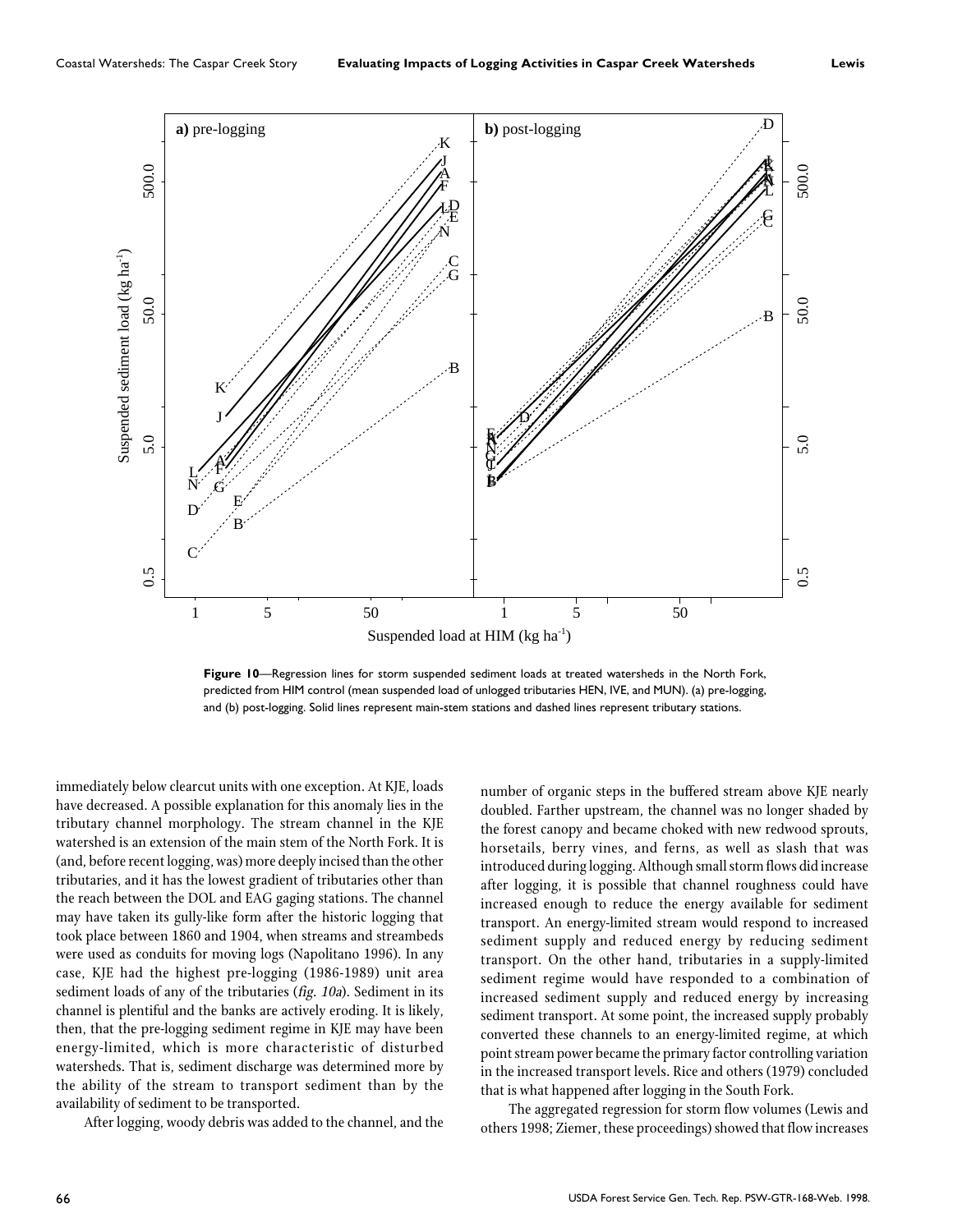

**Figure 10**—Regression lines for storm suspended sediment loads at treated watersheds in the North Fork, predicted from HIM control (mean suspended load of unlogged tributaries HEN, IVE, and MUN). (a) pre-logging, and (b) post-logging. Solid lines represent main-stem stations and dashed lines represent tributary stations.

immediately below clearcut units with one exception. At KJE, loads have decreased. A possible explanation for this anomaly lies in the tributary channel morphology. The stream channel in the KJE watershed is an extension of the main stem of the North Fork. It is (and, before recent logging, was) more deeply incised than the other tributaries, and it has the lowest gradient of tributaries other than the reach between the DOL and EAG gaging stations. The channel may have taken its gully-like form after the historic logging that took place between 1860 and 1904, when streams and streambeds were used as conduits for moving logs (Napolitano 1996). In any case, KJE had the highest pre-logging (1986-1989) unit area sediment loads of any of the tributaries (fig. 10a). Sediment in its channel is plentiful and the banks are actively eroding. It is likely, then, that the pre-logging sediment regime in KJE may have been energy-limited, which is more characteristic of disturbed watersheds. That is, sediment discharge was determined more by the ability of the stream to transport sediment than by the availability of sediment to be transported.

After logging, woody debris was added to the channel, and the

number of organic steps in the buffered stream above KJE nearly doubled. Farther upstream, the channel was no longer shaded by the forest canopy and became choked with new redwood sprouts, horsetails, berry vines, and ferns, as well as slash that was introduced during logging. Although small storm flows did increase after logging, it is possible that channel roughness could have increased enough to reduce the energy available for sediment transport. An energy-limited stream would respond to increased sediment supply and reduced energy by reducing sediment transport. On the other hand, tributaries in a supply-limited sediment regime would have responded to a combination of increased sediment supply and reduced energy by increasing sediment transport. At some point, the increased supply probably converted these channels to an energy-limited regime, at which point stream power became the primary factor controlling variation in the increased transport levels. Rice and others (1979) concluded that is what happened after logging in the South Fork.

The aggregated regression for storm flow volumes (Lewis and others 1998; Ziemer, these proceedings) showed that flow increases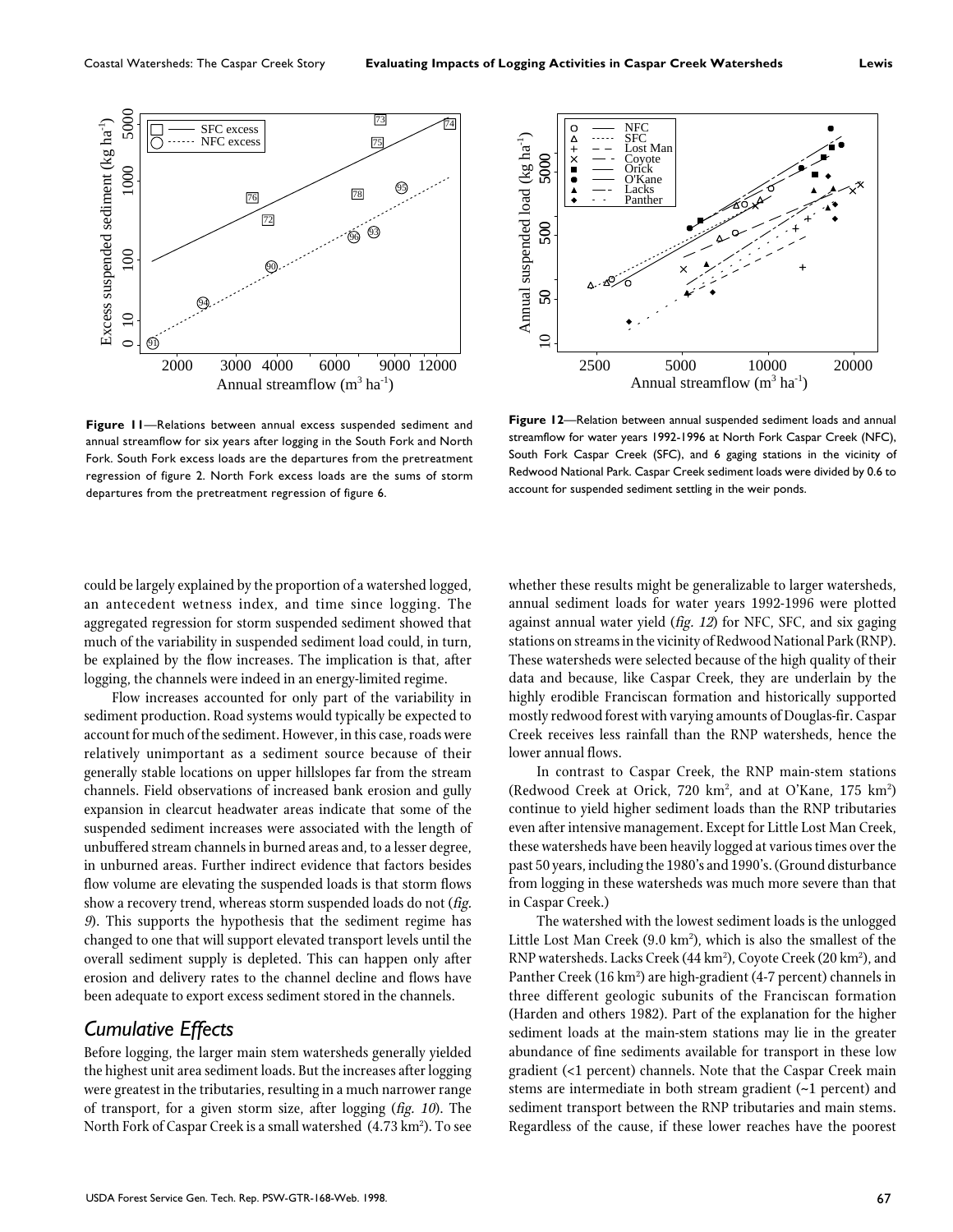

NFC SFC Annual suspended load (kg ha<sup>-1</sup>)  $\bullet$   $\bullet$   $\times$   $+$   $\times$ Annual suspended load (kg ha<sup>-1</sup>) Lost Man 5000 10 50 500 5000 Coyote Orick O'Kane Lacks Panther 500  $50\,$  $\subseteq$ 2500 5000 10000 20000 Annual streamflow  $(m^3 \text{ ha}^{-1})$ 

**Figure 11**—Relations between annual excess suspended sediment and annual streamflow for six years after logging in the South Fork and North Fork. South Fork excess loads are the departures from the pretreatment regression of figure 2. North Fork excess loads are the sums of storm departures from the pretreatment regression of figure 6.

**Figure 12**—Relation between annual suspended sediment loads and annual streamflow for water years 1992-1996 at North Fork Caspar Creek (NFC), South Fork Caspar Creek (SFC), and 6 gaging stations in the vicinity of Redwood National Park. Caspar Creek sediment loads were divided by 0.6 to account for suspended sediment settling in the weir ponds.

could be largely explained by the proportion of a watershed logged, an antecedent wetness index, and time since logging. The aggregated regression for storm suspended sediment showed that much of the variability in suspended sediment load could, in turn, be explained by the flow increases. The implication is that, after logging, the channels were indeed in an energy-limited regime.

Flow increases accounted for only part of the variability in sediment production. Road systems would typically be expected to account for much of the sediment. However, in this case, roads were relatively unimportant as a sediment source because of their generally stable locations on upper hillslopes far from the stream channels. Field observations of increased bank erosion and gully expansion in clearcut headwater areas indicate that some of the suspended sediment increases were associated with the length of unbuffered stream channels in burned areas and, to a lesser degree, in unburned areas. Further indirect evidence that factors besides flow volume are elevating the suspended loads is that storm flows show a recovery trend, whereas storm suspended loads do not (fig. <sup>9</sup>). This supports the hypothesis that the sediment regime has changed to one that will support elevated transport levels until the overall sediment supply is depleted. This can happen only after erosion and delivery rates to the channel decline and flows have been adequate to export excess sediment stored in the channels.

# *Cumulative Effects*

Before logging, the larger main stem watersheds generally yielded the highest unit area sediment loads. But the increases after logging were greatest in the tributaries, resulting in a much narrower range of transport, for a given storm size, after logging (fig. 10). The North Fork of Caspar Creek is a small watershed (4.73 km²). To see whether these results might be generalizable to larger watersheds, annual sediment loads for water years 1992-1996 were plotted against annual water yield (fig. 12) for NFC, SFC, and six gaging stations on streams in the vicinity of Redwood National Park (RNP). These watersheds were selected because of the high quality of their data and because, like Caspar Creek, they are underlain by the highly erodible Franciscan formation and historically supported mostly redwood forest with varying amounts of Douglas-fir. Caspar Creek receives less rainfall than the RNP watersheds, hence the lower annual flows.

In contrast to Caspar Creek, the RNP main-stem stations (Redwood Creek at Orick, 720 km², and at O'Kane, 175 km²) continue to yield higher sediment loads than the RNP tributaries even after intensive management. Except for Little Lost Man Creek, these watersheds have been heavily logged at various times over the past 50 years, including the 1980's and 1990's. (Ground disturbance from logging in these watersheds was much more severe than that in Caspar Creek.)

The watershed with the lowest sediment loads is the unlogged Little Lost Man Creek (9.0 km²), which is also the smallest of the  $\,$ RNP watersheds. Lacks Creek (44 km²), Coyote Creek (20 km²), and Panther Creek (16 km²) are high-gradient (4-7 percent) channels in three different geologic subunits of the Franciscan formation (Harden and others 1982). Part of the explanation for the higher sediment loads at the main-stem stations may lie in the greater abundance of fine sediments available for transport in these low gradient (<1 percent) channels. Note that the Caspar Creek main stems are intermediate in both stream gradient (~1 percent) and sediment transport between the RNP tributaries and main stems. Regardless of the cause, if these lower reaches have the poorest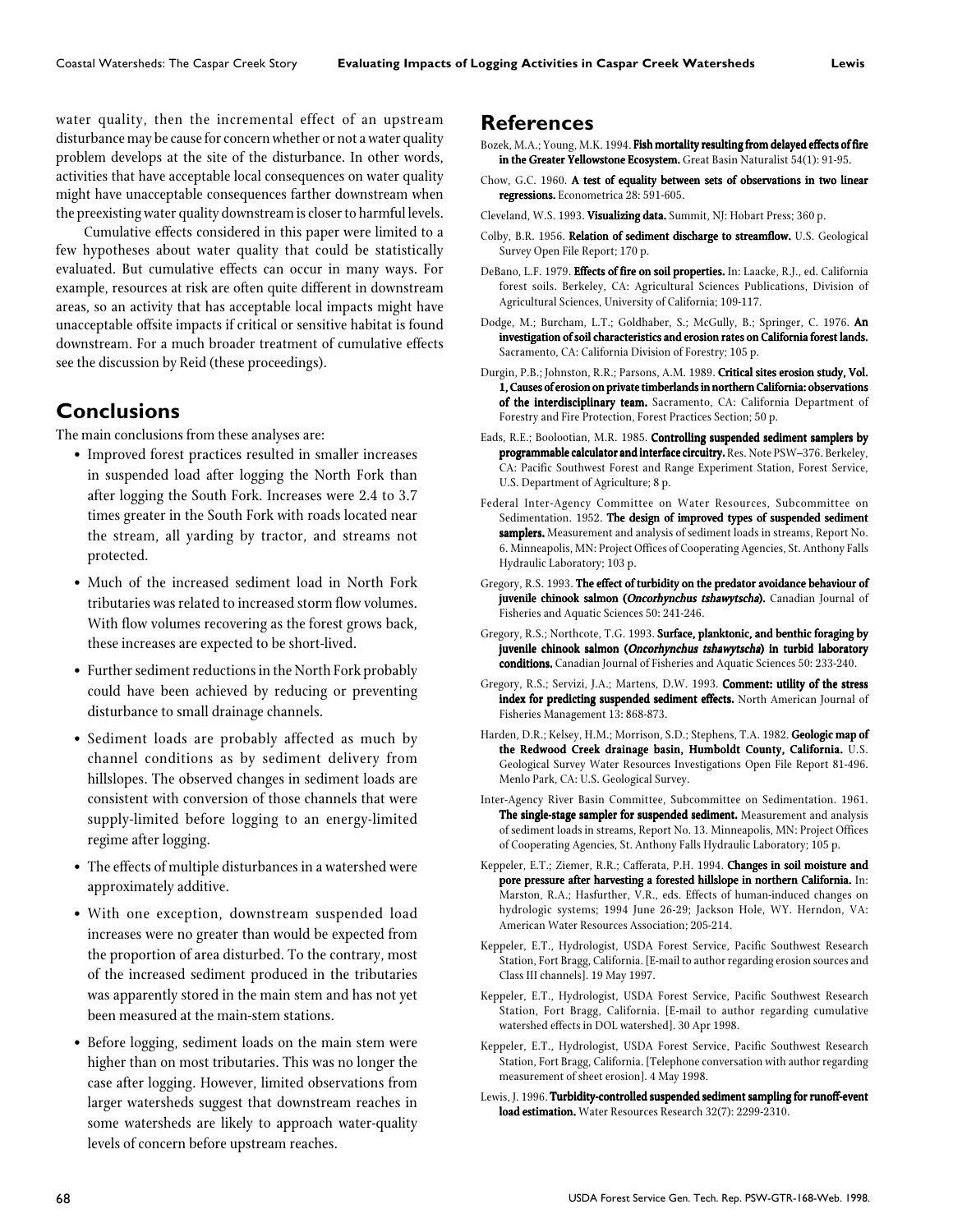water quality, then the incremental effect of an upstream disturbance may be cause for concern whether or not a water quality problem develops at the site of the disturbance. In other words, activities that have acceptable local consequences on water quality might have unacceptable consequences farther downstream when the preexisting water quality downstream is closer to harmful levels.

Cumulative effects considered in this paper were limited to a few hypotheses about water quality that could be statistically evaluated. But cumulative effects can occur in many ways. For example, resources at risk are often quite different in downstream areas, so an activity that has acceptable local impacts might have unacceptable offsite impacts if critical or sensitive habitat is found downstream. For a much broader treatment of cumulative effects see the discussion by Reid (these proceedings).

## **Conclusions**

The main conclusions from these analyses are:

- Improved forest practices resulted in smaller increases in suspended load after logging the North Fork than after logging the South Fork. Increases were 2.4 to 3.7 times greater in the South Fork with roads located near the stream, all yarding by tractor, and streams not protected.
- Much of the increased sediment load in North Fork tributaries was related to increased storm flow volumes. With flow volumes recovering as the forest grows back, these increases are expected to be short-lived.
- Further sediment reductions in the North Fork probably could have been achieved by reducing or preventing disturbance to small drainage channels.
- Sediment loads are probably affected as much by channel conditions as by sediment delivery from hillslopes. The observed changes in sediment loads are consistent with conversion of those channels that were supply-limited before logging to an energy-limited regime after logging.
- The effects of multiple disturbances in a watershed were approximately additive.
- With one exception, downstream suspended load increases were no greater than would be expected from the proportion of area disturbed. To the contrary, most of the increased sediment produced in the tributaries was apparently stored in the main stem and has not yet been measured at the main-stem stations.
- Before logging, sediment loads on the main stem were higher than on most tributaries. This was no longer the case after logging. However, limited observations from larger watersheds suggest that downstream reaches in some watersheds are likely to approach water-quality levels of concern before upstream reaches.

#### **References**

- Bozek, M.A.; Young, M.K. 1994. Fish mortality resulting from delayed effects of fire in the Greater Yellowstone Ecosystem. Great Basin Naturalist 54(1): 91-95.
- Chow, G.C. 1960. A test of equality between sets of observations in two linear regressions. Econometrica 28: 591-605.
- Cleveland, W.S. 1993. Visualizing data. Summit, NJ: Hobart Press; 360 p.
- Colby, B.R. 1956. Relation of sediment discharge to streamflow. U.S. Geological Survey Open File Report; 170 p.
- DeBano, L.F. 1979. **Effects of fire on soil properties.** In: Laacke, R.J., ed. California forest soils. Berkeley, CA: Agricultural Sciences Publications, Division of Agricultural Sciences, University of California; 109-117.
- Dodge, M.; Burcham, L.T.; Goldhaber, S.; McGully, B.; Springer, C. 1976. An investigation of soil characteristics and erosion rates on California forest lands. Sacramento, CA: California Division of Forestry; 105 p.
- Durgin, P.B.; Johnston, R.R.; Parsons, A.M. 1989. Critical sites erosion study, Vol. 1, Causes of erosion on private timberlands in northern California: observations of the interdisciplinary team. Sacramento, CA: California Department of Forestry and Fire Protection, Forest Practices Section; 50 p.
- Eads, R.E.; Boolootian, M.R. 1985. Controlling suspended sediment samplers by programmable calculator and interface circuitry. Res. Note PSW–376. Berkeley, CA: Pacific Southwest Forest and Range Experiment Station, Forest Service, U.S. Department of Agriculture; 8 p.
- Federal Inter-Agency Committee on Water Resources, Subcommittee on Sedimentation. 1952. The design of improved types of suspended sediment samplers. Measurement and analysis of sediment loads in streams, Report No. 6. Minneapolis, MN: Project Offices of Cooperating Agencies, St. Anthony Falls Hydraulic Laboratory; 103 p.
- Gregory, R.S. 1993. The effect of turbidity on the predator avoidance behaviour of juvenile chinook salmon (Oncorhynchus tshawytscha). Canadian Journal of Fisheries and Aquatic Sciences 50: 241-246.
- Gregory, R.S.; Northcote, T.G. 1993. Surface, planktonic, and benthic foraging by juvenile chinook salmon (Oncorhynchus tshawytscha) in turbid laboratory conditions. Canadian Journal of Fisheries and Aquatic Sciences 50: 233-240.
- Gregory, R.S.; Servizi, J.A.; Martens, D.W. 1993. Comment: utility of the stress index for predicting suspended sediment effects. North American Journal of Fisheries Management 13: 868-873.
- Harden, D.R.; Kelsey, H.M.; Morrison, S.D.; Stephens, T.A. 1982. Geologic map of the Redwood Creek drainage basin, Humboldt County, California. U.S. Geological Survey Water Resources Investigations Open File Report 81-496. Menlo Park, CA: U.S. Geological Survey.
- Inter-Agency River Basin Committee, Subcommittee on Sedimentation. 1961. The single-stage sampler for suspended sediment. Measurement and analysis of sediment loads in streams, Report No. 13. Minneapolis, MN: Project Offices of Cooperating Agencies, St. Anthony Falls Hydraulic Laboratory; 105 p.
- Keppeler, E.T.; Ziemer, R.R.; Cafferata, P.H. 1994. Changes in soil moisture and pore pressure after harvesting a forested hillslope in northern California. In: Marston, R.A.; Hasfurther, V.R., eds. Effects of human-induced changes on hydrologic systems; 1994 June 26-29; Jackson Hole, WY. Herndon, VA: American Water Resources Association; 205-214.
- Keppeler, E.T., Hydrologist, USDA Forest Service, Pacific Southwest Research Station, Fort Bragg, California. [E-mail to author regarding erosion sources and Class III channels]. 19 May 1997.
- Keppeler, E.T., Hydrologist, USDA Forest Service, Pacific Southwest Research Station, Fort Bragg, California. [E-mail to author regarding cumulative watershed effects in DOL watershed]. 30 Apr 1998.
- Keppeler, E.T., Hydrologist, USDA Forest Service, Pacific Southwest Research Station, Fort Bragg, California. [Telephone conversation with author regarding measurement of sheet erosion]. 4 May 1998.
- Lewis, J. 1996. Turbidity-controlled suspended sediment sampling for runoff-event load estimation. Water Resources Research 32(7): 2299-2310.